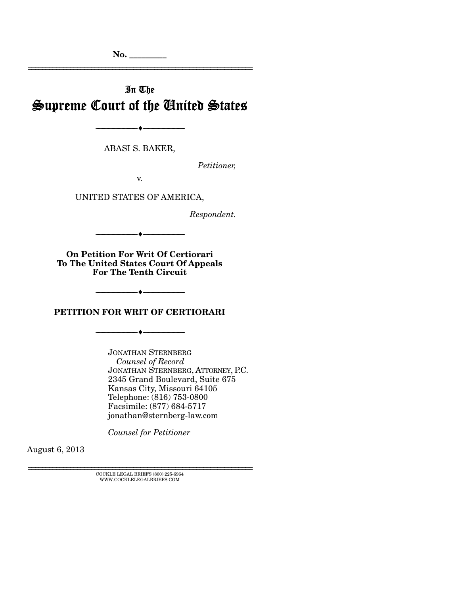# In The Supreme Court of the United States

================================================================

--------------------------------- ---------------------------------

ABASI S. BAKER,

*Petitioner,* 

v.

UNITED STATES OF AMERICA,

*Respondent.* 

--------------------------------- ---------------------------------

**On Petition For Writ Of Certiorari To The United States Court Of Appeals For The Tenth Circuit** 

**PETITION FOR WRIT OF CERTIORARI** 

--------------------------------- ---------------------------------

--------------------------------- ---------------------------------

JONATHAN STERNBERG *Counsel of Record* JONATHAN STERNBERG, ATTORNEY, P.C. 2345 Grand Boulevard, Suite 675 Kansas City, Missouri 64105 Telephone: (816) 753-0800 Facsimile: (877) 684-5717 jonathan@sternberg-law.com

*Counsel for Petitioner* 

August 6, 2013

================================================================ COCKLE LEGAL BRIEFS (800) 225-6964 WWW.COCKLELEGALBRIEFS.COM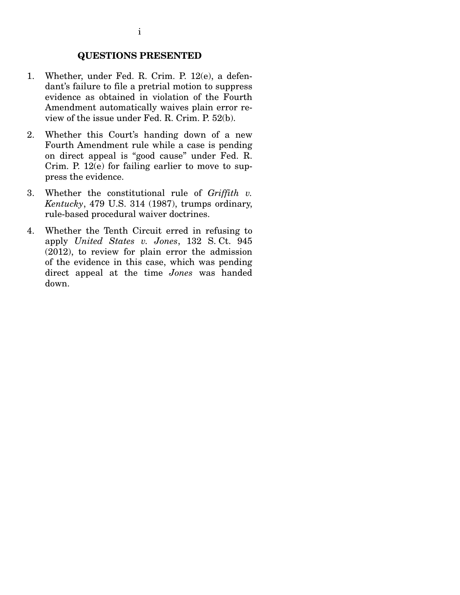### **QUESTIONS PRESENTED**

- 1. Whether, under Fed. R. Crim. P. 12(e), a defendant's failure to file a pretrial motion to suppress evidence as obtained in violation of the Fourth Amendment automatically waives plain error review of the issue under Fed. R. Crim. P. 52(b).
- 2. Whether this Court's handing down of a new Fourth Amendment rule while a case is pending on direct appeal is "good cause" under Fed. R. Crim. P.  $12(e)$  for failing earlier to move to suppress the evidence.
- 3. Whether the constitutional rule of *Griffith v. Kentucky*, 479 U.S. 314 (1987), trumps ordinary, rule-based procedural waiver doctrines.
- 4. Whether the Tenth Circuit erred in refusing to apply *United States v. Jones*, 132 S. Ct. 945 (2012), to review for plain error the admission of the evidence in this case, which was pending direct appeal at the time *Jones* was handed down.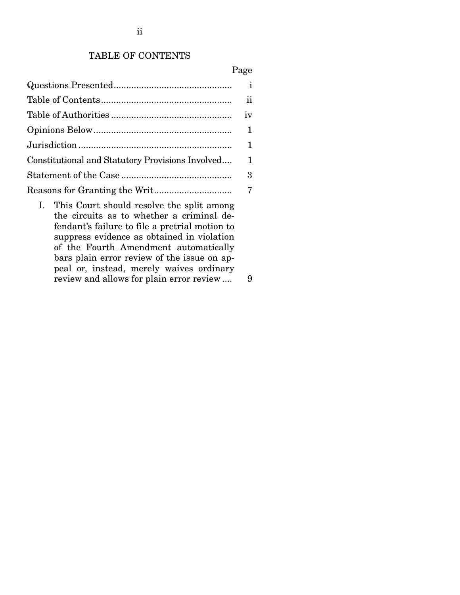## TABLE OF CONTENTS

#### Page

|                                                  | ii           |
|--------------------------------------------------|--------------|
|                                                  | iv           |
|                                                  | $\mathbf{1}$ |
|                                                  | $\mathbf{1}$ |
| Constitutional and Statutory Provisions Involved | 1            |
|                                                  | 3            |
|                                                  |              |
| L. This Court should resolve the split among     |              |

rt snould resolve the split among the circuits as to whether a criminal defendant's failure to file a pretrial motion to suppress evidence as obtained in violation of the Fourth Amendment automatically bars plain error review of the issue on appeal or, instead, merely waives ordinary review and allows for plain error review .... 9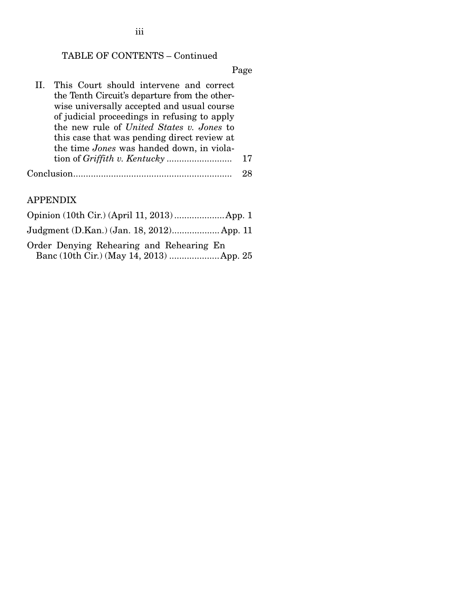iii

## TABLE OF CONTENTS – Continued

Page

| II. This Court should intervene and correct   |  |    |
|-----------------------------------------------|--|----|
| the Tenth Circuit's departure from the other- |  |    |
| wise universally accepted and usual course    |  |    |
| of judicial proceedings in refusing to apply  |  |    |
| the new rule of United States v. Jones to     |  |    |
| this case that was pending direct review at   |  |    |
| the time Jones was handed down, in viola-     |  |    |
|                                               |  | 17 |
|                                               |  |    |

### APPENDIX

Opinion (10th Cir.) (April 11, 2013) .................... App. 1 Judgment (D.Kan.) (Jan. 18, 2012) ................... App. 11 Order Denying Rehearing and Rehearing En Banc (10th Cir.) (May 14, 2013) .................... App. 25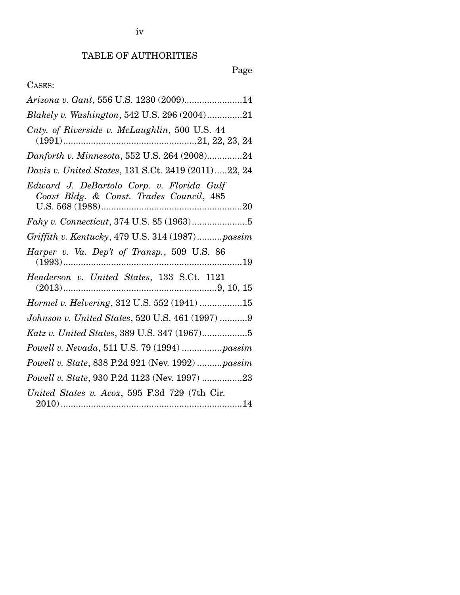## TABLE OF AUTHORITIES

# Page

## CASES:

| Arizona v. Gant, 556 U.S. 1230 (2009)14                                               |
|---------------------------------------------------------------------------------------|
| Blakely v. Washington, 542 U.S. 296 (2004)21                                          |
| Cnty. of Riverside v. McLaughlin, 500 U.S. 44                                         |
| Danforth v. Minnesota, 552 U.S. 264 (2008)24                                          |
| Davis v. United States, 131 S.Ct. 2419 (2011)22, 24                                   |
| Edward J. DeBartolo Corp. v. Florida Gulf<br>Coast Bldg. & Const. Trades Council, 485 |
| Fahy v. Connecticut, 374 U.S. 85 (1963)5                                              |
| Griffith v. Kentucky, 479 U.S. 314 (1987)passim                                       |
| Harper v. Va. Dep't of Transp., 509 U.S. 86                                           |
| Henderson v. United States, 133 S.Ct. 1121                                            |
| Hormel v. Helvering, 312 U.S. 552 (1941) 15                                           |
| Johnson v. United States, 520 U.S. 461 (1997) 9                                       |
|                                                                                       |
| Powell v. Nevada, 511 U.S. 79 (1994)  passim                                          |
| Powell v. State, 838 P.2d 921 (Nev. 1992)  passim                                     |
| Powell v. State, 930 P.2d 1123 (Nev. 1997) 23                                         |
| United States v. Acox, 595 F.3d 729 (7th Cir.                                         |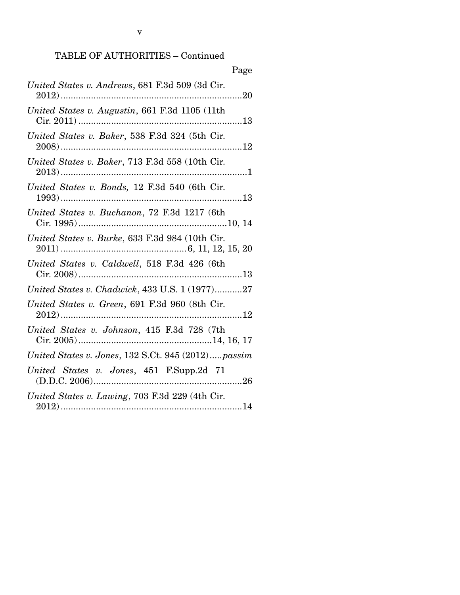## TABLE OF AUTHORITIES – Continued

| Page                                               |
|----------------------------------------------------|
| United States v. Andrews, 681 F.3d 509 (3d Cir.    |
| United States v. Augustin, 661 F.3d 1105 (11th     |
| United States v. Baker, 538 F.3d 324 (5th Cir.     |
| United States v. Baker, 713 F.3d 558 (10th Cir.    |
| United States v. Bonds, 12 F.3d 540 (6th Cir.      |
| United States v. Buchanon, 72 F.3d 1217 (6th       |
| United States v. Burke, 633 F.3d 984 (10th Cir.    |
| United States v. Caldwell, 518 F.3d 426 (6th       |
| United States v. Chadwick, 433 U.S. 1 (1977)27     |
| United States v. Green, 691 F.3d 960 (8th Cir.     |
| United States v. Johnson, 415 F.3d 728 (7th        |
| United States v. Jones, 132 S.Ct. 945 (2012)passim |
| United States v. Jones, 451 F.Supp.2d 71           |
| United States v. Lawing, 703 F.3d 229 (4th Cir.    |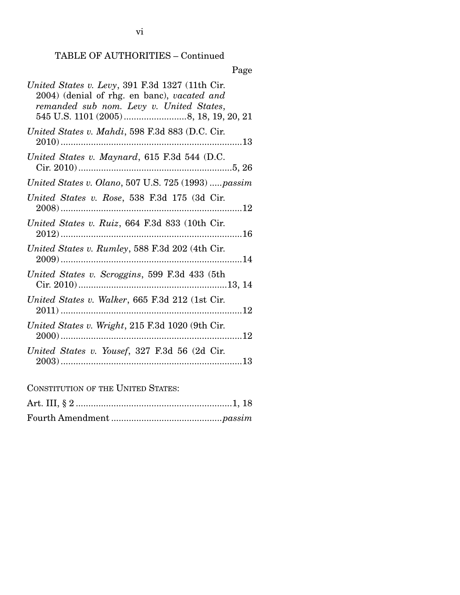## TABLE OF AUTHORITIES – Continued

Page

| United States v. Levy, 391 F.3d 1327 (11th Cir.<br>2004) (denial of rhg. en banc), vacated and<br>remanded sub nom. Levy v. United States, |
|--------------------------------------------------------------------------------------------------------------------------------------------|
| United States v. Mahdi, 598 F.3d 883 (D.C. Cir.                                                                                            |
| United States v. Maynard, 615 F.3d 544 (D.C.                                                                                               |
| United States v. Olano, 507 U.S. 725 (1993)  passim                                                                                        |
| United States v. Rose, 538 F.3d 175 (3d Cir.                                                                                               |
| United States v. Ruiz, 664 F.3d 833 (10th Cir.                                                                                             |
| United States v. Rumley, 588 F.3d 202 (4th Cir.                                                                                            |
| United States v. Scroggins, 599 F.3d 433 (5th                                                                                              |
| United States v. Walker, 665 F.3d 212 (1st Cir.                                                                                            |
| United States v. Wright, 215 F.3d 1020 (9th Cir.                                                                                           |
| United States v. Yousef, 327 F.3d 56 (2d Cir.                                                                                              |
| CONSTITUTION OF THE HUITED STATES.                                                                                                         |

CONSTITUTION OF THE UNITED STATES: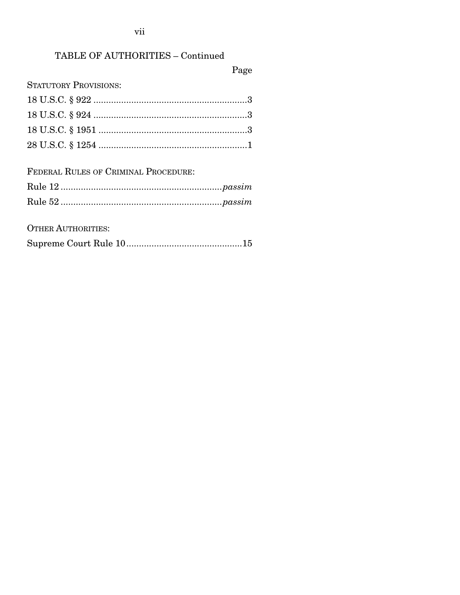vii

## TABLE OF AUTHORITIES - Continued

Page

**STATUTORY PROVISIONS:** 

FEDERAL RULES OF CRIMINAL PROCEDURE:

**OTHER AUTHORITIES:** 

|--|--|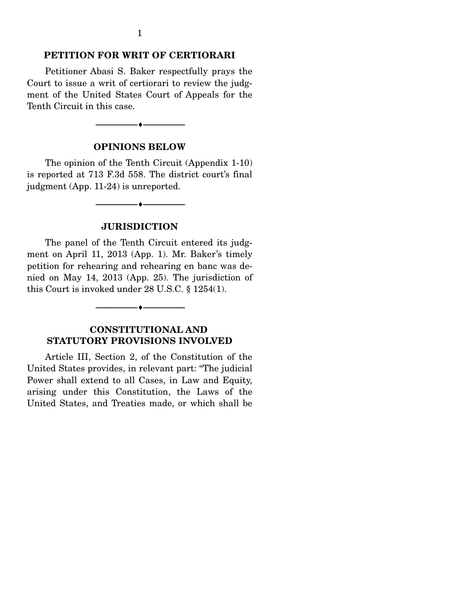#### **PETITION FOR WRIT OF CERTIORARI**

Petitioner Abasi S. Baker respectfully prays the Court to issue a writ of certiorari to review the judgment of the United States Court of Appeals for the Tenth Circuit in this case.

#### **OPINIONS BELOW**

--------------------------------- ---------------------------------

The opinion of the Tenth Circuit (Appendix 1-10) is reported at 713 F.3d 558. The district court's final judgment (App. 11-24) is unreported.

#### **JURISDICTION**

--------------------------------- ---------------------------------

The panel of the Tenth Circuit entered its judgment on April 11, 2013 (App. 1). Mr. Baker's timely petition for rehearing and rehearing en banc was denied on May 14, 2013 (App. 25). The jurisdiction of this Court is invoked under 28 U.S.C. § 1254(1).

#### **CONSTITUTIONAL AND STATUTORY PROVISIONS INVOLVED**

--------------------------------- ---------------------------------

Article III, Section 2, of the Constitution of the United States provides, in relevant part: "The judicial Power shall extend to all Cases, in Law and Equity, arising under this Constitution, the Laws of the United States, and Treaties made, or which shall be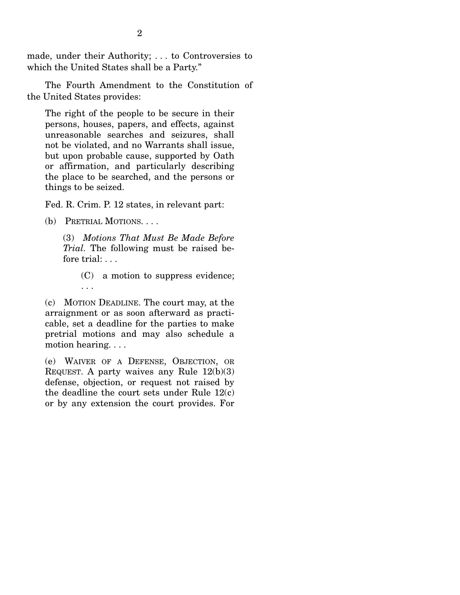made, under their Authority; . . . to Controversies to which the United States shall be a Party."

 The Fourth Amendment to the Constitution of the United States provides:

The right of the people to be secure in their persons, houses, papers, and effects, against unreasonable searches and seizures, shall not be violated, and no Warrants shall issue, but upon probable cause, supported by Oath or affirmation, and particularly describing the place to be searched, and the persons or things to be seized.

Fed. R. Crim. P. 12 states, in relevant part:

(b) PRETRIAL MOTIONS. . . .

(3) *Motions That Must Be Made Before Trial.* The following must be raised before trial: . . .

> (C) a motion to suppress evidence; . . .

(c) MOTION DEADLINE. The court may, at the arraignment or as soon afterward as practicable, set a deadline for the parties to make pretrial motions and may also schedule a motion hearing. . . .

(e) WAIVER OF A DEFENSE, OBJECTION, OR REQUEST. A party waives any Rule 12(b)(3) defense, objection, or request not raised by the deadline the court sets under Rule 12(c) or by any extension the court provides. For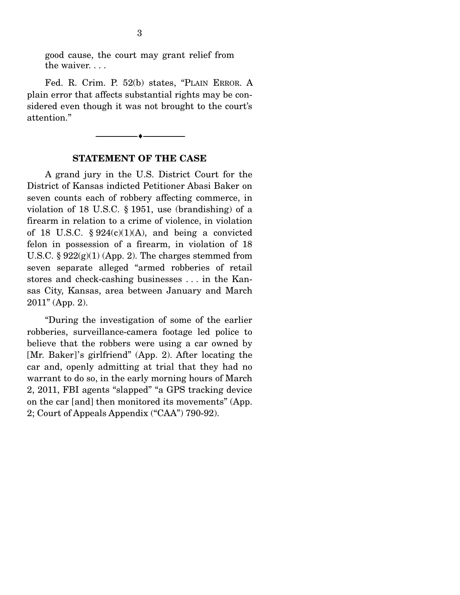good cause, the court may grant relief from the waiver. . . .

 Fed. R. Crim. P. 52(b) states, "PLAIN ERROR. A plain error that affects substantial rights may be considered even though it was not brought to the court's attention."

#### **STATEMENT OF THE CASE**

--------------------------------- ---------------------------------

 A grand jury in the U.S. District Court for the District of Kansas indicted Petitioner Abasi Baker on seven counts each of robbery affecting commerce, in violation of 18 U.S.C. § 1951, use (brandishing) of a firearm in relation to a crime of violence, in violation of 18 U.S.C.  $\S 924(c)(1)(A)$ , and being a convicted felon in possession of a firearm, in violation of 18 U.S.C.  $\S 922(g)(1)$  (App. 2). The charges stemmed from seven separate alleged "armed robberies of retail stores and check-cashing businesses . . . in the Kansas City, Kansas, area between January and March 2011" (App. 2).

 "During the investigation of some of the earlier robberies, surveillance-camera footage led police to believe that the robbers were using a car owned by [Mr. Baker]'s girlfriend" (App. 2). After locating the car and, openly admitting at trial that they had no warrant to do so, in the early morning hours of March 2, 2011, FBI agents "slapped" "a GPS tracking device on the car [and] then monitored its movements" (App. 2; Court of Appeals Appendix ("CAA") 790-92).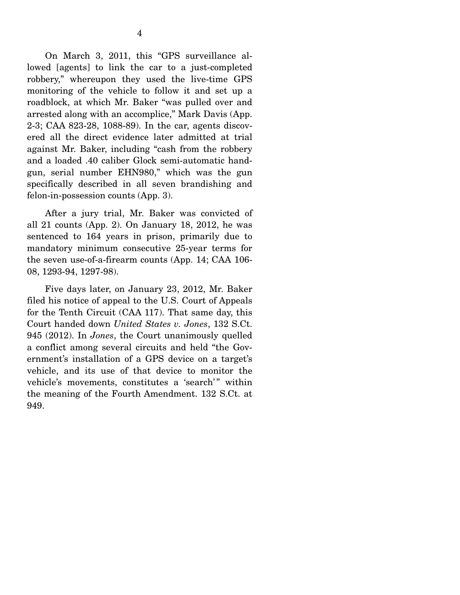On March 3, 2011, this "GPS surveillance allowed [agents] to link the car to a just-completed robbery," whereupon they used the live-time GPS monitoring of the vehicle to follow it and set up a roadblock, at which Mr. Baker "was pulled over and arrested along with an accomplice," Mark Davis (App. 2-3; CAA 823-28, 1088-89). In the car, agents discovered all the direct evidence later admitted at trial against Mr. Baker, including "cash from the robbery and a loaded .40 caliber Glock semi-automatic handgun, serial number EHN980," which was the gun specifically described in all seven brandishing and felon-in-possession counts (App. 3).

 After a jury trial, Mr. Baker was convicted of all 21 counts (App. 2). On January 18, 2012, he was sentenced to 164 years in prison, primarily due to mandatory minimum consecutive 25-year terms for the seven use-of-a-firearm counts (App. 14; CAA 106- 08, 1293-94, 1297-98).

 Five days later, on January 23, 2012, Mr. Baker filed his notice of appeal to the U.S. Court of Appeals for the Tenth Circuit (CAA 117). That same day, this Court handed down *United States v. Jones*, 132 S.Ct. 945 (2012). In *Jones*, the Court unanimously quelled a conflict among several circuits and held "the Government's installation of a GPS device on a target's vehicle, and its use of that device to monitor the vehicle's movements, constitutes a 'search'" within the meaning of the Fourth Amendment. 132 S.Ct. at 949.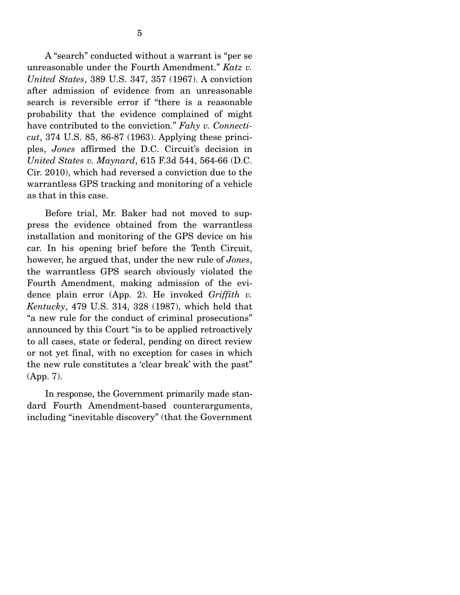A "search" conducted without a warrant is "per se unreasonable under the Fourth Amendment." *Katz v. United States*, 389 U.S. 347, 357 (1967). A conviction after admission of evidence from an unreasonable search is reversible error if "there is a reasonable probability that the evidence complained of might have contributed to the conviction." *Fahy v. Connecticut*, 374 U.S. 85, 86-87 (1963). Applying these principles, *Jones* affirmed the D.C. Circuit's decision in *United States v. Maynard*, 615 F.3d 544, 564-66 (D.C. Cir. 2010), which had reversed a conviction due to the warrantless GPS tracking and monitoring of a vehicle as that in this case.

 Before trial, Mr. Baker had not moved to suppress the evidence obtained from the warrantless installation and monitoring of the GPS device on his car. In his opening brief before the Tenth Circuit, however, he argued that, under the new rule of *Jones*, the warrantless GPS search obviously violated the Fourth Amendment, making admission of the evidence plain error (App. 2). He invoked *Griffith v. Kentucky*, 479 U.S. 314, 328 (1987), which held that "a new rule for the conduct of criminal prosecutions" announced by this Court "is to be applied retroactively to all cases, state or federal, pending on direct review or not yet final, with no exception for cases in which the new rule constitutes a 'clear break' with the past" (App. 7).

 In response, the Government primarily made standard Fourth Amendment-based counterarguments, including "inevitable discovery" (that the Government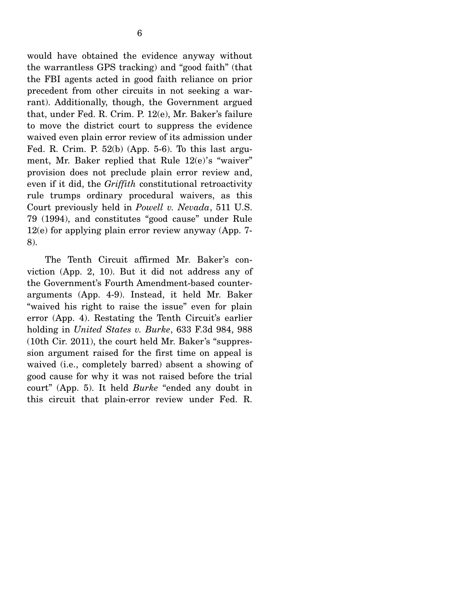would have obtained the evidence anyway without the warrantless GPS tracking) and "good faith" (that the FBI agents acted in good faith reliance on prior precedent from other circuits in not seeking a warrant). Additionally, though, the Government argued that, under Fed. R. Crim. P. 12(e), Mr. Baker's failure to move the district court to suppress the evidence waived even plain error review of its admission under Fed. R. Crim. P. 52(b) (App. 5-6). To this last argument, Mr. Baker replied that Rule 12(e)'s "waiver" provision does not preclude plain error review and, even if it did, the *Griffith* constitutional retroactivity rule trumps ordinary procedural waivers, as this Court previously held in *Powell v. Nevada*, 511 U.S. 79 (1994), and constitutes "good cause" under Rule 12(e) for applying plain error review anyway (App. 7- 8).

 The Tenth Circuit affirmed Mr. Baker's conviction (App. 2, 10). But it did not address any of the Government's Fourth Amendment-based counterarguments (App. 4-9). Instead, it held Mr. Baker "waived his right to raise the issue" even for plain error (App. 4). Restating the Tenth Circuit's earlier holding in *United States v. Burke*, 633 F.3d 984, 988 (10th Cir. 2011), the court held Mr. Baker's "suppression argument raised for the first time on appeal is waived (i.e., completely barred) absent a showing of good cause for why it was not raised before the trial court" (App. 5). It held *Burke* "ended any doubt in this circuit that plain-error review under Fed. R.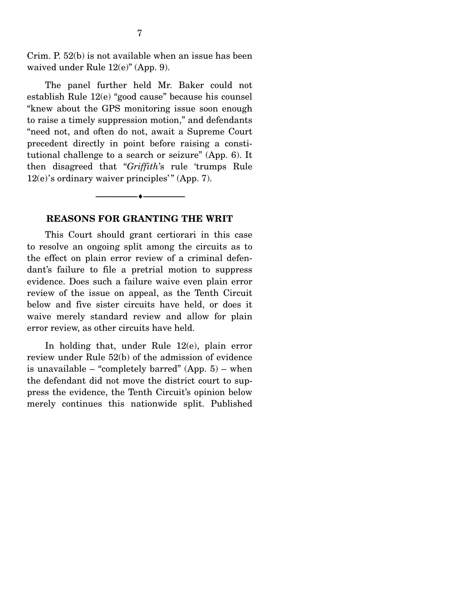Crim. P. 52(b) is not available when an issue has been waived under Rule 12(e)" (App. 9).

 The panel further held Mr. Baker could not establish Rule 12(e) "good cause" because his counsel "knew about the GPS monitoring issue soon enough to raise a timely suppression motion," and defendants "need not, and often do not, await a Supreme Court precedent directly in point before raising a constitutional challenge to a search or seizure" (App. 6). It then disagreed that "*Griffith*'s rule 'trumps Rule  $12(e)$ 's ordinary waiver principles'" (App. 7).

#### **REASONS FOR GRANTING THE WRIT**

--------------------------------- ---------------------------------

 This Court should grant certiorari in this case to resolve an ongoing split among the circuits as to the effect on plain error review of a criminal defendant's failure to file a pretrial motion to suppress evidence. Does such a failure waive even plain error review of the issue on appeal, as the Tenth Circuit below and five sister circuits have held, or does it waive merely standard review and allow for plain error review, as other circuits have held.

 In holding that, under Rule 12(e), plain error review under Rule 52(b) of the admission of evidence is unavailable – "completely barred"  $(App. 5)$  – when the defendant did not move the district court to suppress the evidence, the Tenth Circuit's opinion below merely continues this nationwide split. Published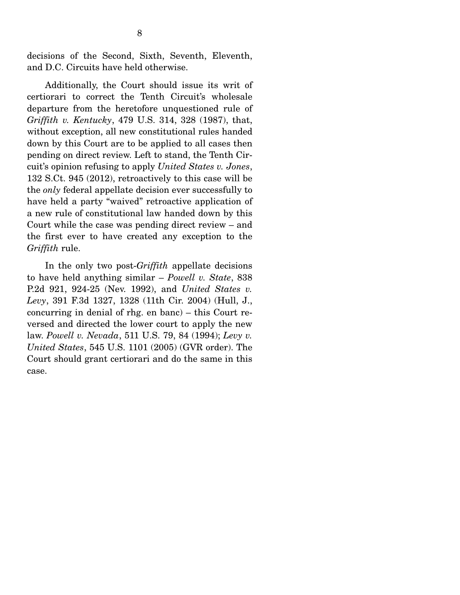decisions of the Second, Sixth, Seventh, Eleventh, and D.C. Circuits have held otherwise.

 Additionally, the Court should issue its writ of certiorari to correct the Tenth Circuit's wholesale departure from the heretofore unquestioned rule of *Griffith v. Kentucky*, 479 U.S. 314, 328 (1987), that, without exception, all new constitutional rules handed down by this Court are to be applied to all cases then pending on direct review. Left to stand, the Tenth Circuit's opinion refusing to apply *United States v. Jones*, 132 S.Ct. 945 (2012), retroactively to this case will be the *only* federal appellate decision ever successfully to have held a party "waived" retroactive application of a new rule of constitutional law handed down by this Court while the case was pending direct review – and the first ever to have created any exception to the *Griffith* rule.

 In the only two post-*Griffith* appellate decisions to have held anything similar – *Powell v. State*, 838 P.2d 921, 924-25 (Nev. 1992), and *United States v. Levy*, 391 F.3d 1327, 1328 (11th Cir. 2004) (Hull, J., concurring in denial of rhg. en banc) – this Court reversed and directed the lower court to apply the new law. *Powell v. Nevada*, 511 U.S. 79, 84 (1994); *Levy v. United States*, 545 U.S. 1101 (2005) (GVR order). The Court should grant certiorari and do the same in this case.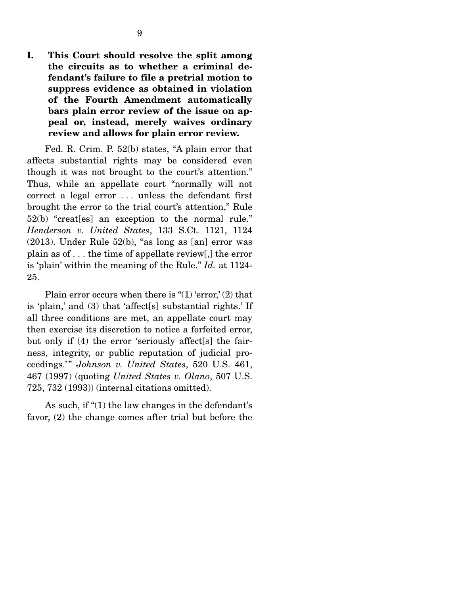**I. This Court should resolve the split among the circuits as to whether a criminal defendant's failure to file a pretrial motion to suppress evidence as obtained in violation of the Fourth Amendment automatically bars plain error review of the issue on appeal or, instead, merely waives ordinary review and allows for plain error review.** 

 Fed. R. Crim. P. 52(b) states, "A plain error that affects substantial rights may be considered even though it was not brought to the court's attention." Thus, while an appellate court "normally will not correct a legal error . . . unless the defendant first brought the error to the trial court's attention," Rule 52(b) "creat[es] an exception to the normal rule." *Henderson v. United States*, 133 S.Ct. 1121, 1124 (2013). Under Rule 52(b), "as long as [an] error was plain as of . . . the time of appellate review[,] the error is 'plain' within the meaning of the Rule." *Id.* at 1124- 25.

Plain error occurs when there is " $(1)$  'error,'  $(2)$  that is 'plain,' and (3) that 'affect[s] substantial rights.' If all three conditions are met, an appellate court may then exercise its discretion to notice a forfeited error, but only if (4) the error 'seriously affect[s] the fairness, integrity, or public reputation of judicial proceedings.' " *Johnson v. United States*, 520 U.S. 461, 467 (1997) (quoting *United States v. Olano*, 507 U.S. 725, 732 (1993)) (internal citations omitted).

 As such, if "(1) the law changes in the defendant's favor, (2) the change comes after trial but before the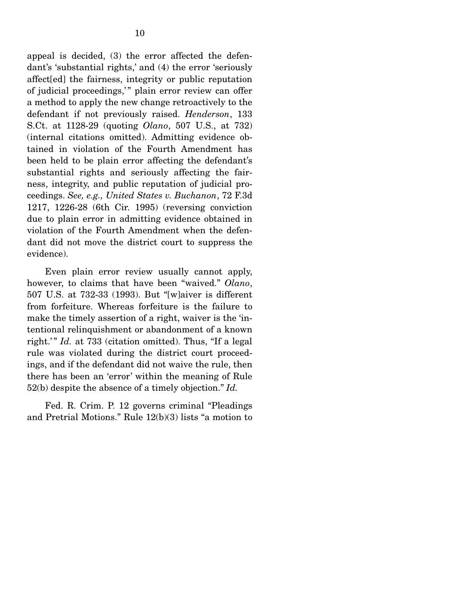appeal is decided, (3) the error affected the defendant's 'substantial rights,' and (4) the error 'seriously affect[ed] the fairness, integrity or public reputation of judicial proceedings," plain error review can offer a method to apply the new change retroactively to the defendant if not previously raised. *Henderson*, 133 S.Ct. at 1128-29 (quoting *Olano*, 507 U.S., at 732) (internal citations omitted). Admitting evidence obtained in violation of the Fourth Amendment has been held to be plain error affecting the defendant's substantial rights and seriously affecting the fairness, integrity, and public reputation of judicial proceedings. *See, e.g., United States v. Buchanon*, 72 F.3d 1217, 1226-28 (6th Cir. 1995) (reversing conviction due to plain error in admitting evidence obtained in violation of the Fourth Amendment when the defendant did not move the district court to suppress the evidence).

 Even plain error review usually cannot apply, however, to claims that have been "waived." *Olano*, 507 U.S. at 732-33 (1993). But "[w]aiver is different from forfeiture. Whereas forfeiture is the failure to make the timely assertion of a right, waiver is the 'intentional relinquishment or abandonment of a known right.'" *Id.* at 733 (citation omitted). Thus, "If a legal rule was violated during the district court proceedings, and if the defendant did not waive the rule, then there has been an 'error' within the meaning of Rule 52(b) despite the absence of a timely objection." *Id.*

 Fed. R. Crim. P. 12 governs criminal "Pleadings and Pretrial Motions." Rule 12(b)(3) lists "a motion to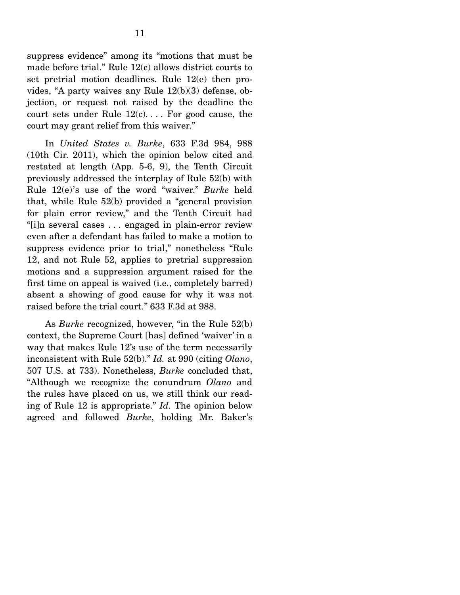suppress evidence" among its "motions that must be made before trial." Rule 12(c) allows district courts to set pretrial motion deadlines. Rule 12(e) then provides, "A party waives any Rule 12(b)(3) defense, objection, or request not raised by the deadline the court sets under Rule  $12(c)$ .... For good cause, the court may grant relief from this waiver."

 In *United States v. Burke*, 633 F.3d 984, 988 (10th Cir. 2011), which the opinion below cited and restated at length (App. 5-6, 9), the Tenth Circuit previously addressed the interplay of Rule 52(b) with Rule 12(e)'s use of the word "waiver." *Burke* held that, while Rule 52(b) provided a "general provision for plain error review," and the Tenth Circuit had "[i]n several cases . . . engaged in plain-error review even after a defendant has failed to make a motion to suppress evidence prior to trial," nonetheless "Rule 12, and not Rule 52, applies to pretrial suppression motions and a suppression argument raised for the first time on appeal is waived (i.e., completely barred) absent a showing of good cause for why it was not raised before the trial court." 633 F.3d at 988.

 As *Burke* recognized, however, "in the Rule 52(b) context, the Supreme Court [has] defined 'waiver' in a way that makes Rule 12's use of the term necessarily inconsistent with Rule 52(b)." *Id.* at 990 (citing *Olano*, 507 U.S. at 733). Nonetheless, *Burke* concluded that, "Although we recognize the conundrum *Olano* and the rules have placed on us, we still think our reading of Rule 12 is appropriate." *Id.* The opinion below agreed and followed *Burke*, holding Mr. Baker's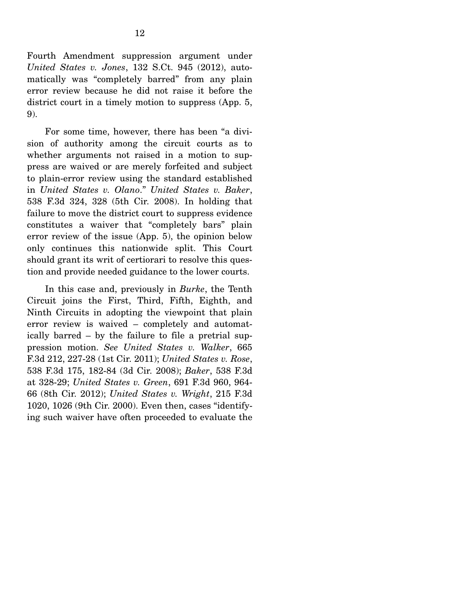Fourth Amendment suppression argument under *United States v. Jones*, 132 S.Ct. 945 (2012), automatically was "completely barred" from any plain error review because he did not raise it before the district court in a timely motion to suppress (App. 5, 9).

 For some time, however, there has been "a division of authority among the circuit courts as to whether arguments not raised in a motion to suppress are waived or are merely forfeited and subject to plain-error review using the standard established in *United States v. Olano*." *United States v. Baker*, 538 F.3d 324, 328 (5th Cir. 2008). In holding that failure to move the district court to suppress evidence constitutes a waiver that "completely bars" plain error review of the issue (App. 5), the opinion below only continues this nationwide split. This Court should grant its writ of certiorari to resolve this question and provide needed guidance to the lower courts.

 In this case and, previously in *Burke*, the Tenth Circuit joins the First, Third, Fifth, Eighth, and Ninth Circuits in adopting the viewpoint that plain error review is waived – completely and automatically barred – by the failure to file a pretrial suppression motion. *See United States v. Walker*, 665 F.3d 212, 227-28 (1st Cir. 2011); *United States v. Rose*, 538 F.3d 175, 182-84 (3d Cir. 2008); *Baker*, 538 F.3d at 328-29; *United States v. Green*, 691 F.3d 960, 964- 66 (8th Cir. 2012); *United States v. Wright*, 215 F.3d 1020, 1026 (9th Cir. 2000). Even then, cases "identifying such waiver have often proceeded to evaluate the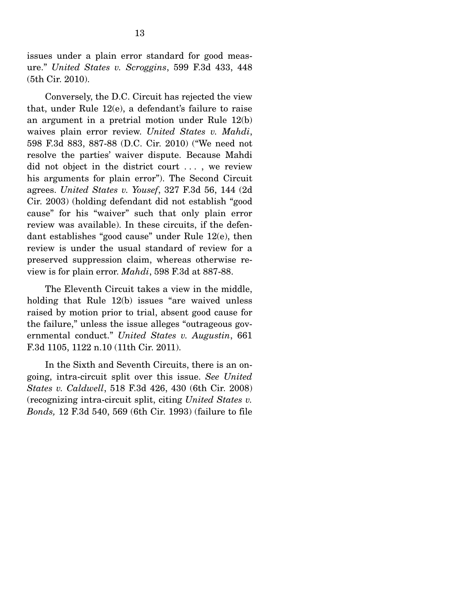issues under a plain error standard for good measure." *United States v. Scroggins*, 599 F.3d 433, 448 (5th Cir. 2010).

 Conversely, the D.C. Circuit has rejected the view that, under Rule 12(e), a defendant's failure to raise an argument in a pretrial motion under Rule 12(b) waives plain error review. *United States v. Mahdi*, 598 F.3d 883, 887-88 (D.C. Cir. 2010) ("We need not resolve the parties' waiver dispute. Because Mahdi did not object in the district court . . . , we review his arguments for plain error"). The Second Circuit agrees. *United States v. Yousef*, 327 F.3d 56, 144 (2d Cir. 2003) (holding defendant did not establish "good cause" for his "waiver" such that only plain error review was available). In these circuits, if the defendant establishes "good cause" under Rule 12(e), then review is under the usual standard of review for a preserved suppression claim, whereas otherwise review is for plain error. *Mahdi*, 598 F.3d at 887-88.

 The Eleventh Circuit takes a view in the middle, holding that Rule 12(b) issues "are waived unless raised by motion prior to trial, absent good cause for the failure," unless the issue alleges "outrageous governmental conduct." *United States v. Augustin*, 661 F.3d 1105, 1122 n.10 (11th Cir. 2011).

 In the Sixth and Seventh Circuits, there is an ongoing, intra-circuit split over this issue. *See United States v. Caldwell*, 518 F.3d 426, 430 (6th Cir. 2008) (recognizing intra-circuit split, citing *United States v. Bonds,* 12 F.3d 540, 569 (6th Cir. 1993) (failure to file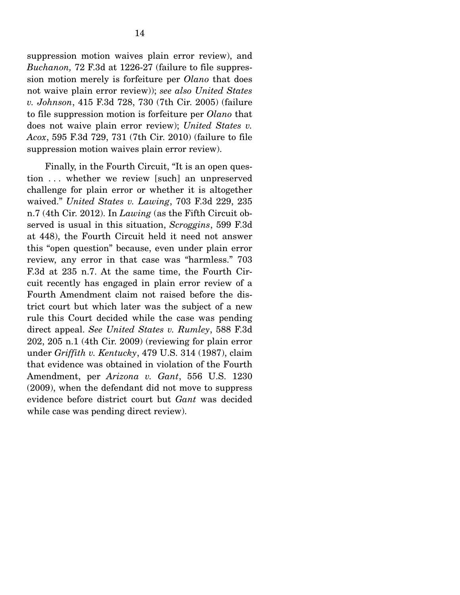suppression motion waives plain error review), and *Buchanon,* 72 F.3d at 1226-27 (failure to file suppression motion merely is forfeiture per *Olano* that does not waive plain error review)); *see also United States v. Johnson*, 415 F.3d 728, 730 (7th Cir. 2005) (failure to file suppression motion is forfeiture per *Olano* that does not waive plain error review); *United States v. Acox*, 595 F.3d 729, 731 (7th Cir. 2010) (failure to file suppression motion waives plain error review).

 Finally, in the Fourth Circuit, "It is an open question . . . whether we review [such] an unpreserved challenge for plain error or whether it is altogether waived." *United States v. Lawing*, 703 F.3d 229, 235 n.7 (4th Cir. 2012). In *Lawing* (as the Fifth Circuit observed is usual in this situation, *Scroggins*, 599 F.3d at 448), the Fourth Circuit held it need not answer this "open question" because, even under plain error review, any error in that case was "harmless." 703 F.3d at 235 n.7. At the same time, the Fourth Circuit recently has engaged in plain error review of a Fourth Amendment claim not raised before the district court but which later was the subject of a new rule this Court decided while the case was pending direct appeal. *See United States v. Rumley*, 588 F.3d 202, 205 n.1 (4th Cir. 2009) (reviewing for plain error under *Griffith v. Kentucky*, 479 U.S. 314 (1987), claim that evidence was obtained in violation of the Fourth Amendment, per *Arizona v. Gant*, 556 U.S. 1230 (2009), when the defendant did not move to suppress evidence before district court but *Gant* was decided while case was pending direct review).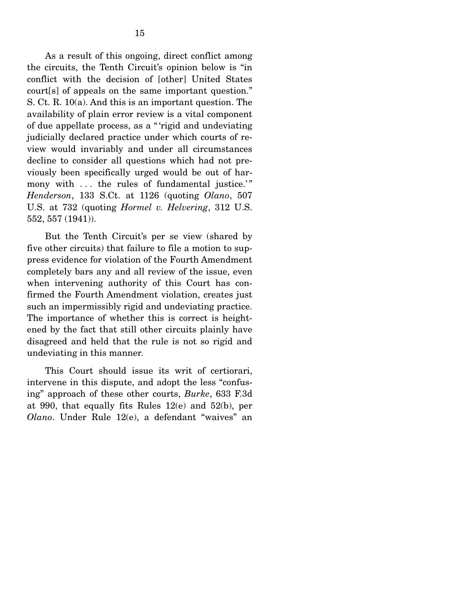As a result of this ongoing, direct conflict among the circuits, the Tenth Circuit's opinion below is "in conflict with the decision of [other] United States court[s] of appeals on the same important question." S. Ct. R. 10(a). And this is an important question. The availability of plain error review is a vital component of due appellate process, as a " 'rigid and undeviating judicially declared practice under which courts of review would invariably and under all circumstances decline to consider all questions which had not previously been specifically urged would be out of harmony with ... the rules of fundamental justice." *Henderson*, 133 S.Ct. at 1126 (quoting *Olano*, 507 U.S. at 732 (quoting *Hormel v. Helvering*, 312 U.S. 552, 557 (1941)).

 But the Tenth Circuit's per se view (shared by five other circuits) that failure to file a motion to suppress evidence for violation of the Fourth Amendment completely bars any and all review of the issue, even when intervening authority of this Court has confirmed the Fourth Amendment violation, creates just such an impermissibly rigid and undeviating practice. The importance of whether this is correct is heightened by the fact that still other circuits plainly have disagreed and held that the rule is not so rigid and undeviating in this manner.

 This Court should issue its writ of certiorari, intervene in this dispute, and adopt the less "confusing" approach of these other courts, *Burke*, 633 F.3d at 990, that equally fits Rules 12(e) and 52(b), per *Olano*. Under Rule 12(e), a defendant "waives" an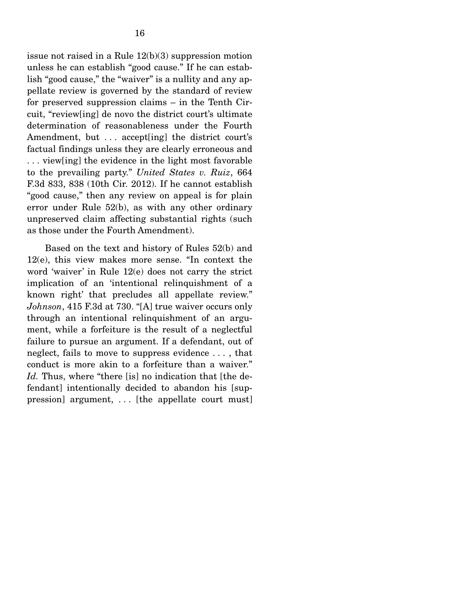issue not raised in a Rule 12(b)(3) suppression motion unless he can establish "good cause." If he can establish "good cause," the "waiver" is a nullity and any appellate review is governed by the standard of review for preserved suppression claims – in the Tenth Circuit, "review[ing] de novo the district court's ultimate determination of reasonableness under the Fourth Amendment, but ... accept [ing] the district court's factual findings unless they are clearly erroneous and . . . view[ing] the evidence in the light most favorable to the prevailing party." *United States v. Ruiz*, 664 F.3d 833, 838 (10th Cir. 2012). If he cannot establish "good cause," then any review on appeal is for plain error under Rule 52(b), as with any other ordinary unpreserved claim affecting substantial rights (such as those under the Fourth Amendment).

 Based on the text and history of Rules 52(b) and 12(e), this view makes more sense. "In context the word 'waiver' in Rule 12(e) does not carry the strict implication of an 'intentional relinquishment of a known right' that precludes all appellate review." *Johnson*, 415 F.3d at 730. "[A] true waiver occurs only through an intentional relinquishment of an argument, while a forfeiture is the result of a neglectful failure to pursue an argument. If a defendant, out of neglect, fails to move to suppress evidence . . . , that conduct is more akin to a forfeiture than a waiver." *Id.* Thus, where "there [is] no indication that [the defendant] intentionally decided to abandon his [suppression] argument, . . . [the appellate court must]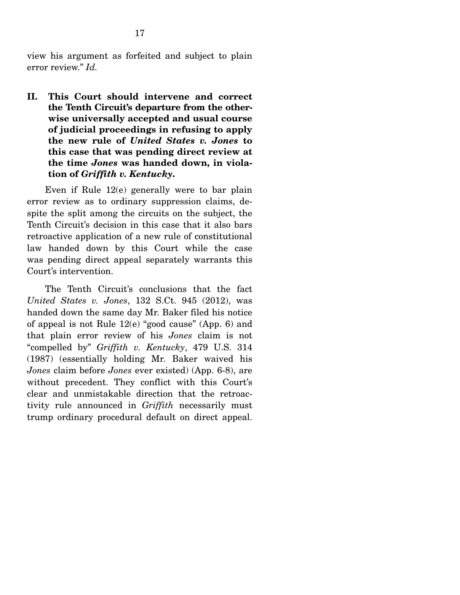view his argument as forfeited and subject to plain error review." *Id.* 

**II. This Court should intervene and correct the Tenth Circuit's departure from the otherwise universally accepted and usual course of judicial proceedings in refusing to apply the new rule of** *United States v. Jones* **to this case that was pending direct review at the time** *Jones* **was handed down, in violation of** *Griffith v. Kentucky***.**

 Even if Rule 12(e) generally were to bar plain error review as to ordinary suppression claims, despite the split among the circuits on the subject, the Tenth Circuit's decision in this case that it also bars retroactive application of a new rule of constitutional law handed down by this Court while the case was pending direct appeal separately warrants this Court's intervention.

 The Tenth Circuit's conclusions that the fact *United States v. Jones*, 132 S.Ct. 945 (2012), was handed down the same day Mr. Baker filed his notice of appeal is not Rule 12(e) "good cause" (App. 6) and that plain error review of his *Jones* claim is not "compelled by" *Griffith v. Kentucky*, 479 U.S. 314 (1987) (essentially holding Mr. Baker waived his *Jones* claim before *Jones* ever existed) (App. 6-8), are without precedent. They conflict with this Court's clear and unmistakable direction that the retroactivity rule announced in *Griffith* necessarily must trump ordinary procedural default on direct appeal.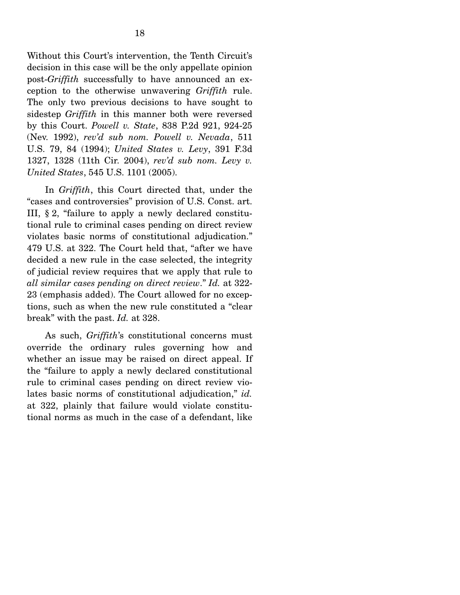Without this Court's intervention, the Tenth Circuit's decision in this case will be the only appellate opinion post-*Griffith* successfully to have announced an exception to the otherwise unwavering *Griffith* rule. The only two previous decisions to have sought to sidestep *Griffith* in this manner both were reversed by this Court. *Powell v. State*, 838 P.2d 921, 924-25 (Nev. 1992), *rev'd sub nom. Powell v. Nevada*, 511 U.S. 79, 84 (1994); *United States v. Levy*, 391 F.3d 1327, 1328 (11th Cir. 2004), *rev'd sub nom. Levy v. United States*, 545 U.S. 1101 (2005).

 In *Griffith*, this Court directed that, under the "cases and controversies" provision of U.S. Const. art. III, § 2, "failure to apply a newly declared constitutional rule to criminal cases pending on direct review violates basic norms of constitutional adjudication." 479 U.S. at 322. The Court held that, "after we have decided a new rule in the case selected, the integrity of judicial review requires that we apply that rule to *all similar cases pending on direct review*." *Id.* at 322- 23 (emphasis added). The Court allowed for no exceptions, such as when the new rule constituted a "clear break" with the past. *Id.* at 328.

 As such, *Griffith*'s constitutional concerns must override the ordinary rules governing how and whether an issue may be raised on direct appeal. If the "failure to apply a newly declared constitutional rule to criminal cases pending on direct review violates basic norms of constitutional adjudication," *id.* at 322, plainly that failure would violate constitutional norms as much in the case of a defendant, like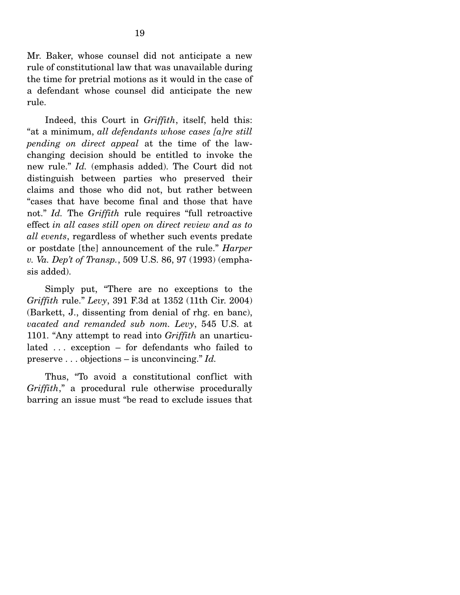Mr. Baker, whose counsel did not anticipate a new rule of constitutional law that was unavailable during the time for pretrial motions as it would in the case of a defendant whose counsel did anticipate the new rule.

 Indeed, this Court in *Griffith*, itself, held this: "at a minimum, *all defendants whose cases [a]re still pending on direct appeal* at the time of the lawchanging decision should be entitled to invoke the new rule." *Id.* (emphasis added). The Court did not distinguish between parties who preserved their claims and those who did not, but rather between "cases that have become final and those that have not." *Id.* The *Griffith* rule requires "full retroactive effect *in all cases still open on direct review and as to all events*, regardless of whether such events predate or postdate [the] announcement of the rule." *Harper v. Va. Dep't of Transp.*, 509 U.S. 86, 97 (1993) (emphasis added).

 Simply put, "There are no exceptions to the *Griffith* rule." *Levy*, 391 F.3d at 1352 (11th Cir. 2004) (Barkett, J., dissenting from denial of rhg. en banc), *vacated and remanded sub nom. Levy*, 545 U.S. at 1101. "Any attempt to read into *Griffith* an unarticulated . . . exception – for defendants who failed to preserve . . . objections – is unconvincing." *Id.*

 Thus, "To avoid a constitutional conflict with *Griffith*," a procedural rule otherwise procedurally barring an issue must "be read to exclude issues that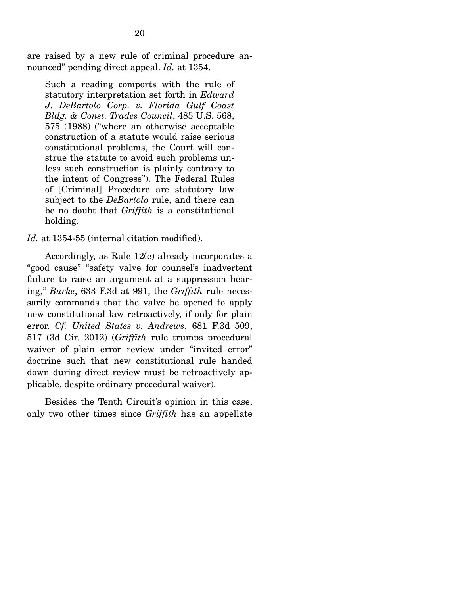are raised by a new rule of criminal procedure announced" pending direct appeal. *Id.* at 1354.

Such a reading comports with the rule of statutory interpretation set forth in *Edward J. DeBartolo Corp. v. Florida Gulf Coast Bldg. & Const. Trades Council*, 485 U.S. 568, 575 (1988) ("where an otherwise acceptable construction of a statute would raise serious constitutional problems, the Court will construe the statute to avoid such problems unless such construction is plainly contrary to the intent of Congress"). The Federal Rules of [Criminal] Procedure are statutory law subject to the *DeBartolo* rule, and there can be no doubt that *Griffith* is a constitutional holding.

*Id.* at 1354-55 (internal citation modified).

 Accordingly, as Rule 12(e) already incorporates a "good cause" "safety valve for counsel's inadvertent failure to raise an argument at a suppression hearing," *Burke*, 633 F.3d at 991, the *Griffith* rule necessarily commands that the valve be opened to apply new constitutional law retroactively, if only for plain error. *Cf. United States v. Andrews*, 681 F.3d 509, 517 (3d Cir. 2012) (*Griffith* rule trumps procedural waiver of plain error review under "invited error" doctrine such that new constitutional rule handed down during direct review must be retroactively applicable, despite ordinary procedural waiver).

Besides the Tenth Circuit's opinion in this case, only two other times since *Griffith* has an appellate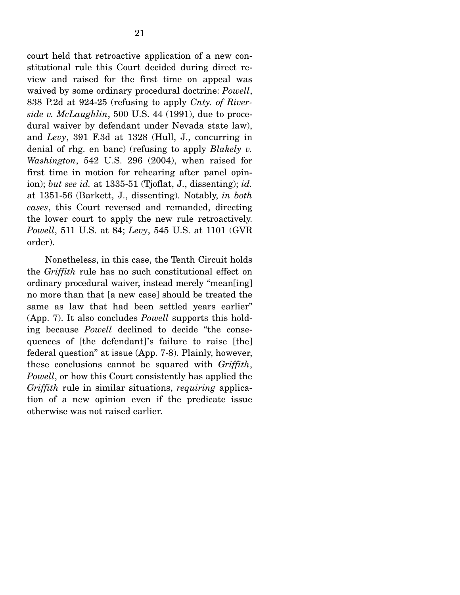court held that retroactive application of a new constitutional rule this Court decided during direct review and raised for the first time on appeal was waived by some ordinary procedural doctrine: *Powell*, 838 P.2d at 924-25 (refusing to apply *Cnty. of Riverside v. McLaughlin*, 500 U.S. 44 (1991), due to procedural waiver by defendant under Nevada state law), and *Levy*, 391 F.3d at 1328 (Hull, J., concurring in denial of rhg. en banc) (refusing to apply *Blakely v. Washington*, 542 U.S. 296 (2004), when raised for first time in motion for rehearing after panel opinion); *but see id.* at 1335-51 (Tjoflat, J., dissenting); *id.* at 1351-56 (Barkett, J., dissenting). Notably, *in both cases*, this Court reversed and remanded, directing the lower court to apply the new rule retroactively. *Powell*, 511 U.S. at 84; *Levy*, 545 U.S. at 1101 (GVR order).

 Nonetheless, in this case, the Tenth Circuit holds the *Griffith* rule has no such constitutional effect on ordinary procedural waiver, instead merely "mean[ing] no more than that [a new case] should be treated the same as law that had been settled years earlier" (App. 7). It also concludes *Powell* supports this holding because *Powell* declined to decide "the consequences of [the defendant]'s failure to raise [the] federal question" at issue (App. 7-8). Plainly, however, these conclusions cannot be squared with *Griffith*, *Powell*, or how this Court consistently has applied the *Griffith* rule in similar situations, *requiring* application of a new opinion even if the predicate issue otherwise was not raised earlier.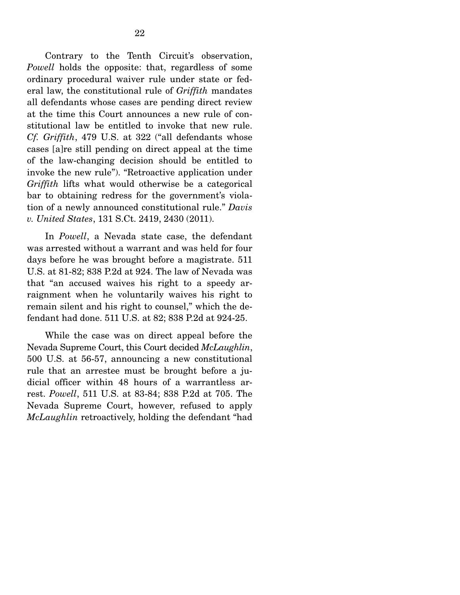Contrary to the Tenth Circuit's observation, *Powell* holds the opposite: that, regardless of some ordinary procedural waiver rule under state or federal law, the constitutional rule of *Griffith* mandates all defendants whose cases are pending direct review at the time this Court announces a new rule of constitutional law be entitled to invoke that new rule. *Cf. Griffith*, 479 U.S. at 322 ("all defendants whose cases [a]re still pending on direct appeal at the time of the law-changing decision should be entitled to invoke the new rule"). "Retroactive application under *Griffith* lifts what would otherwise be a categorical bar to obtaining redress for the government's violation of a newly announced constitutional rule." *Davis v. United States*, 131 S.Ct. 2419, 2430 (2011).

 In *Powell*, a Nevada state case, the defendant was arrested without a warrant and was held for four days before he was brought before a magistrate. 511 U.S. at 81-82; 838 P.2d at 924. The law of Nevada was that "an accused waives his right to a speedy arraignment when he voluntarily waives his right to remain silent and his right to counsel," which the defendant had done. 511 U.S. at 82; 838 P.2d at 924-25.

 While the case was on direct appeal before the Nevada Supreme Court, this Court decided *McLaughlin*, 500 U.S. at 56-57, announcing a new constitutional rule that an arrestee must be brought before a judicial officer within 48 hours of a warrantless arrest. *Powell*, 511 U.S. at 83-84; 838 P.2d at 705. The Nevada Supreme Court, however, refused to apply *McLaughlin* retroactively, holding the defendant "had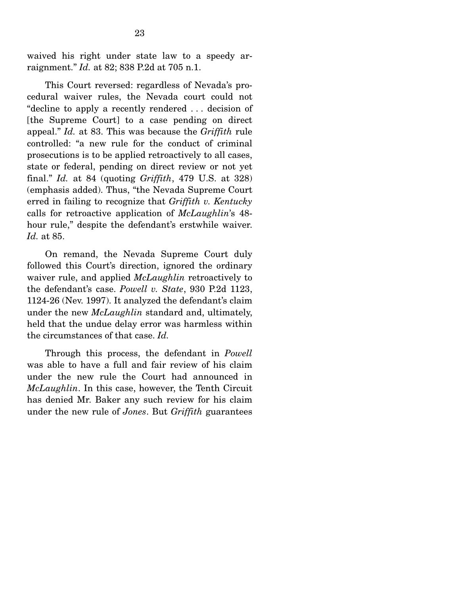waived his right under state law to a speedy arraignment." *Id.* at 82; 838 P.2d at 705 n.1.

 This Court reversed: regardless of Nevada's procedural waiver rules, the Nevada court could not "decline to apply a recently rendered . . . decision of [the Supreme Court] to a case pending on direct appeal." *Id.* at 83. This was because the *Griffith* rule controlled: "a new rule for the conduct of criminal prosecutions is to be applied retroactively to all cases, state or federal, pending on direct review or not yet final." *Id.* at 84 (quoting *Griffith*, 479 U.S. at 328) (emphasis added). Thus, "the Nevada Supreme Court erred in failing to recognize that *Griffith v. Kentucky* calls for retroactive application of *McLaughlin*'s 48 hour rule," despite the defendant's erstwhile waiver. *Id.* at 85.

 On remand, the Nevada Supreme Court duly followed this Court's direction, ignored the ordinary waiver rule, and applied *McLaughlin* retroactively to the defendant's case. *Powell v. State*, 930 P.2d 1123, 1124-26 (Nev. 1997). It analyzed the defendant's claim under the new *McLaughlin* standard and, ultimately, held that the undue delay error was harmless within the circumstances of that case. *Id.*

 Through this process, the defendant in *Powell* was able to have a full and fair review of his claim under the new rule the Court had announced in *McLaughlin*. In this case, however, the Tenth Circuit has denied Mr. Baker any such review for his claim under the new rule of *Jones*. But *Griffith* guarantees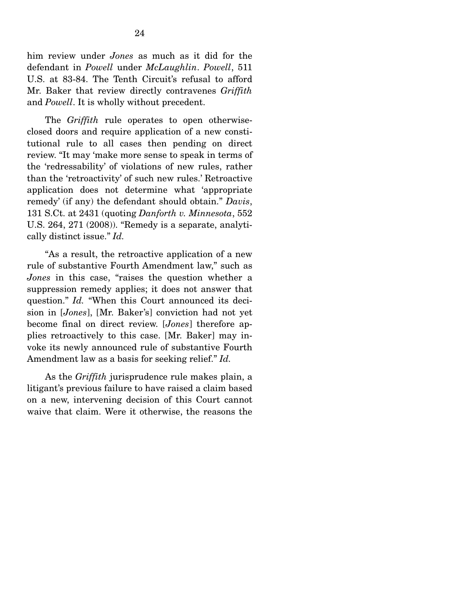him review under *Jones* as much as it did for the defendant in *Powell* under *McLaughlin*. *Powell*, 511 U.S. at 83-84. The Tenth Circuit's refusal to afford Mr. Baker that review directly contravenes *Griffith* and *Powell*. It is wholly without precedent.

 The *Griffith* rule operates to open otherwiseclosed doors and require application of a new constitutional rule to all cases then pending on direct review. "It may 'make more sense to speak in terms of the 'redressability' of violations of new rules, rather than the 'retroactivity' of such new rules.' Retroactive application does not determine what 'appropriate remedy' (if any) the defendant should obtain." *Davis*, 131 S.Ct. at 2431 (quoting *Danforth v. Minnesota*, 552 U.S. 264, 271 (2008)). "Remedy is a separate, analytically distinct issue." *Id.*

 "As a result, the retroactive application of a new rule of substantive Fourth Amendment law," such as *Jones* in this case, "raises the question whether a suppression remedy applies; it does not answer that question." *Id.* "When this Court announced its decision in [*Jones*], [Mr. Baker's] conviction had not yet become final on direct review. [*Jones*] therefore applies retroactively to this case. [Mr. Baker] may invoke its newly announced rule of substantive Fourth Amendment law as a basis for seeking relief." *Id.*

 As the *Griffith* jurisprudence rule makes plain, a litigant's previous failure to have raised a claim based on a new, intervening decision of this Court cannot waive that claim. Were it otherwise, the reasons the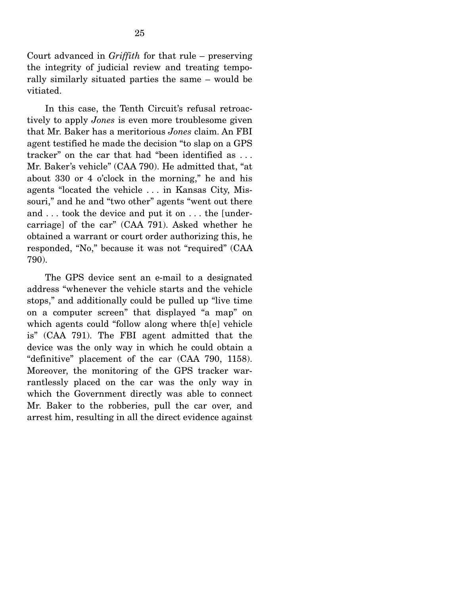Court advanced in *Griffith* for that rule – preserving the integrity of judicial review and treating temporally similarly situated parties the same – would be vitiated.

 In this case, the Tenth Circuit's refusal retroactively to apply *Jones* is even more troublesome given that Mr. Baker has a meritorious *Jones* claim. An FBI agent testified he made the decision "to slap on a GPS tracker" on the car that had "been identified as . . . Mr. Baker's vehicle" (CAA 790). He admitted that, "at about 330 or 4 o'clock in the morning," he and his agents "located the vehicle . . . in Kansas City, Missouri," and he and "two other" agents "went out there and . . . took the device and put it on . . . the [undercarriage] of the car" (CAA 791). Asked whether he obtained a warrant or court order authorizing this, he responded, "No," because it was not "required" (CAA 790).

 The GPS device sent an e-mail to a designated address "whenever the vehicle starts and the vehicle stops," and additionally could be pulled up "live time on a computer screen" that displayed "a map" on which agents could "follow along where th[e] vehicle is" (CAA 791). The FBI agent admitted that the device was the only way in which he could obtain a "definitive" placement of the car (CAA 790, 1158). Moreover, the monitoring of the GPS tracker warrantlessly placed on the car was the only way in which the Government directly was able to connect Mr. Baker to the robberies, pull the car over, and arrest him, resulting in all the direct evidence against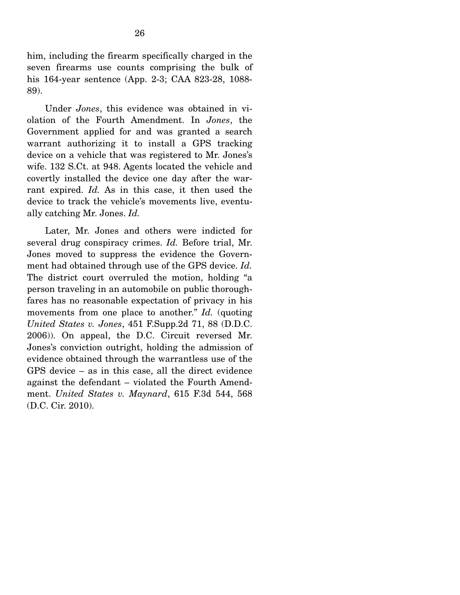him, including the firearm specifically charged in the seven firearms use counts comprising the bulk of his 164-year sentence (App. 2-3; CAA 823-28, 1088- 89).

 Under *Jones*, this evidence was obtained in violation of the Fourth Amendment. In *Jones*, the Government applied for and was granted a search warrant authorizing it to install a GPS tracking device on a vehicle that was registered to Mr. Jones's wife. 132 S.Ct. at 948. Agents located the vehicle and covertly installed the device one day after the warrant expired. *Id.* As in this case, it then used the device to track the vehicle's movements live, eventually catching Mr. Jones. *Id.*

 Later, Mr. Jones and others were indicted for several drug conspiracy crimes. *Id.* Before trial, Mr. Jones moved to suppress the evidence the Government had obtained through use of the GPS device. *Id.* The district court overruled the motion, holding "a person traveling in an automobile on public thoroughfares has no reasonable expectation of privacy in his movements from one place to another." *Id.* (quoting *United States v. Jones*, 451 F.Supp.2d 71, 88 (D.D.C. 2006)). On appeal, the D.C. Circuit reversed Mr. Jones's conviction outright, holding the admission of evidence obtained through the warrantless use of the GPS device – as in this case, all the direct evidence against the defendant – violated the Fourth Amendment. *United States v. Maynard*, 615 F.3d 544, 568 (D.C. Cir. 2010).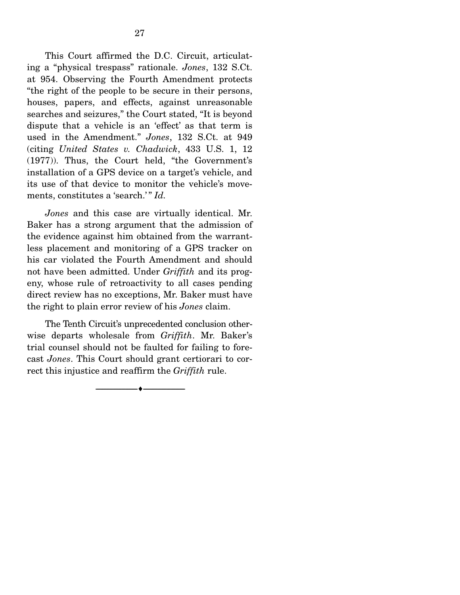This Court affirmed the D.C. Circuit, articulating a "physical trespass" rationale. *Jones*, 132 S.Ct. at 954. Observing the Fourth Amendment protects "the right of the people to be secure in their persons, houses, papers, and effects, against unreasonable searches and seizures," the Court stated, "It is beyond dispute that a vehicle is an 'effect' as that term is used in the Amendment." *Jones*, 132 S.Ct. at 949 (citing *United States v. Chadwick*, 433 U.S. 1, 12 (1977)). Thus, the Court held, "the Government's installation of a GPS device on a target's vehicle, and its use of that device to monitor the vehicle's movements, constitutes a 'search.'" *Id.* 

*Jones* and this case are virtually identical. Mr. Baker has a strong argument that the admission of the evidence against him obtained from the warrantless placement and monitoring of a GPS tracker on his car violated the Fourth Amendment and should not have been admitted. Under *Griffith* and its progeny, whose rule of retroactivity to all cases pending direct review has no exceptions, Mr. Baker must have the right to plain error review of his *Jones* claim.

 The Tenth Circuit's unprecedented conclusion otherwise departs wholesale from *Griffith*. Mr. Baker's trial counsel should not be faulted for failing to forecast *Jones*. This Court should grant certiorari to correct this injustice and reaffirm the *Griffith* rule.

--------------------------------- ---------------------------------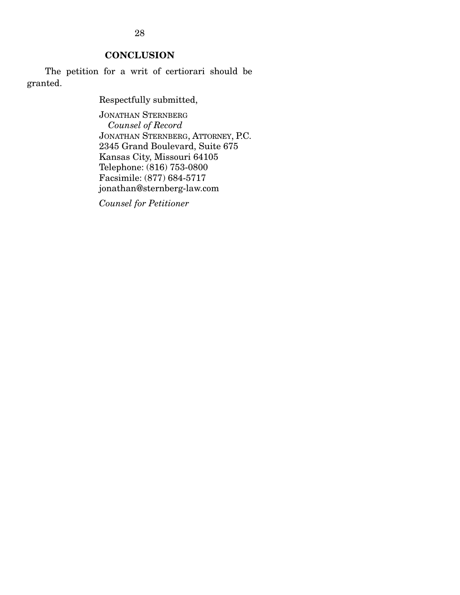**CONCLUSION** 

 The petition for a writ of certiorari should be granted.

Respectfully submitted,

JONATHAN STERNBERG *Counsel of Record*  JONATHAN STERNBERG, ATTORNEY, P.C. 2345 Grand Boulevard, Suite 675 Kansas City, Missouri 64105 Telephone: (816) 753-0800 Facsimile: (877) 684-5717 jonathan@sternberg-law.com

*Counsel for Petitioner*

28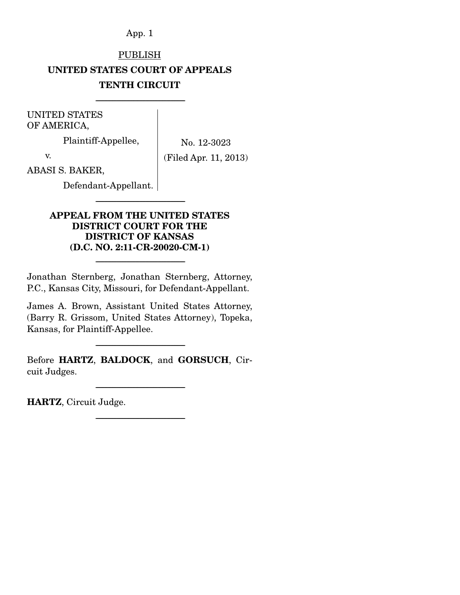# PUBLISH **UNITED STATES COURT OF APPEALS TENTH CIRCUIT**

-----------------------------------------------------------------------

UNITED STATES OF AMERICA,

Plaintiff-Appellee,

No. 12-3023

v.

(Filed Apr. 11, 2013)

ABASI S. BAKER,

Defendant-Appellant.

### **APPEAL FROM THE UNITED STATES DISTRICT COURT FOR THE DISTRICT OF KANSAS (D.C. NO. 2:11-CR-20020-CM-1)**

-----------------------------------------------------------------------

Jonathan Sternberg, Jonathan Sternberg, Attorney, P.C., Kansas City, Missouri, for Defendant-Appellant.

-----------------------------------------------------------------------

James A. Brown, Assistant United States Attorney, (Barry R. Grissom, United States Attorney), Topeka, Kansas, for Plaintiff-Appellee.

Before **HARTZ**, **BALDOCK**, and **GORSUCH**, Circuit Judges.

-----------------------------------------------------------------------

-----------------------------------------------------------------------

-----------------------------------------------------------------------

**HARTZ**, Circuit Judge.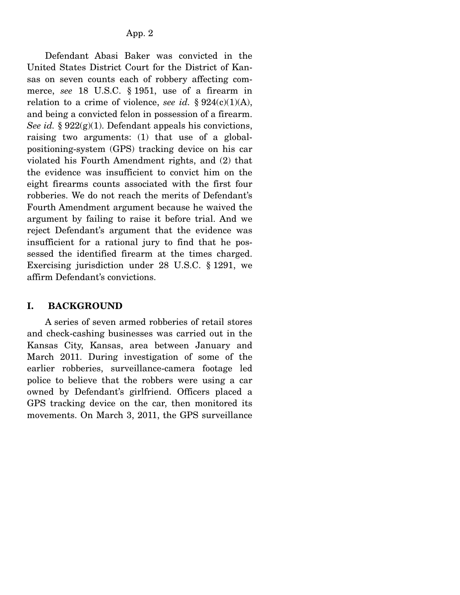Defendant Abasi Baker was convicted in the United States District Court for the District of Kansas on seven counts each of robbery affecting commerce, *see* 18 U.S.C. § 1951, use of a firearm in relation to a crime of violence, *see id.* §  $924(c)(1)(A)$ , and being a convicted felon in possession of a firearm. *See id.* § 922(g)(1). Defendant appeals his convictions, raising two arguments: (1) that use of a globalpositioning-system (GPS) tracking device on his car violated his Fourth Amendment rights, and (2) that the evidence was insufficient to convict him on the eight firearms counts associated with the first four robberies. We do not reach the merits of Defendant's Fourth Amendment argument because he waived the argument by failing to raise it before trial. And we reject Defendant's argument that the evidence was insufficient for a rational jury to find that he possessed the identified firearm at the times charged. Exercising jurisdiction under 28 U.S.C. § 1291, we affirm Defendant's convictions.

#### **I. BACKGROUND**

 A series of seven armed robberies of retail stores and check-cashing businesses was carried out in the Kansas City, Kansas, area between January and March 2011. During investigation of some of the earlier robberies, surveillance-camera footage led police to believe that the robbers were using a car owned by Defendant's girlfriend. Officers placed a GPS tracking device on the car, then monitored its movements. On March 3, 2011, the GPS surveillance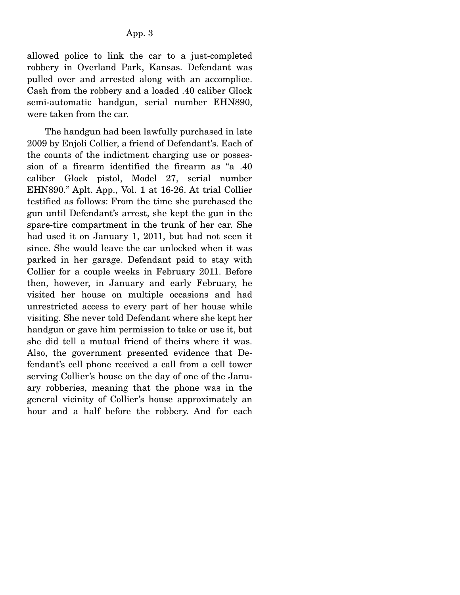allowed police to link the car to a just-completed robbery in Overland Park, Kansas. Defendant was pulled over and arrested along with an accomplice. Cash from the robbery and a loaded .40 caliber Glock semi-automatic handgun, serial number EHN890, were taken from the car.

 The handgun had been lawfully purchased in late 2009 by Enjoli Collier, a friend of Defendant's. Each of the counts of the indictment charging use or possession of a firearm identified the firearm as "a .40 caliber Glock pistol, Model 27, serial number EHN890." Aplt. App., Vol. 1 at 16-26. At trial Collier testified as follows: From the time she purchased the gun until Defendant's arrest, she kept the gun in the spare-tire compartment in the trunk of her car. She had used it on January 1, 2011, but had not seen it since. She would leave the car unlocked when it was parked in her garage. Defendant paid to stay with Collier for a couple weeks in February 2011. Before then, however, in January and early February, he visited her house on multiple occasions and had unrestricted access to every part of her house while visiting. She never told Defendant where she kept her handgun or gave him permission to take or use it, but she did tell a mutual friend of theirs where it was. Also, the government presented evidence that Defendant's cell phone received a call from a cell tower serving Collier's house on the day of one of the January robberies, meaning that the phone was in the general vicinity of Collier's house approximately an hour and a half before the robbery. And for each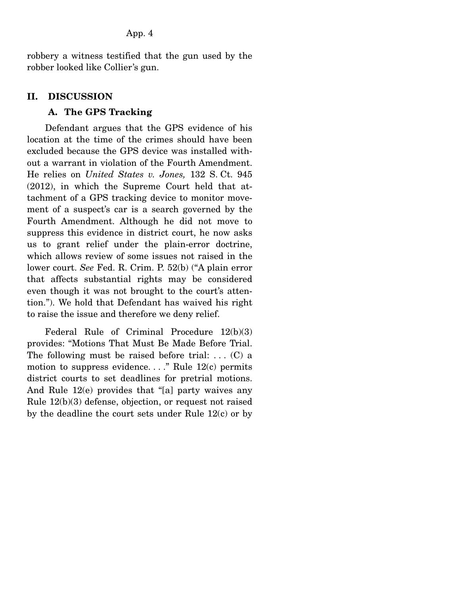robbery a witness testified that the gun used by the robber looked like Collier's gun.

#### **II. DISCUSSION**

#### **A. The GPS Tracking**

 Defendant argues that the GPS evidence of his location at the time of the crimes should have been excluded because the GPS device was installed without a warrant in violation of the Fourth Amendment. He relies on *United States v. Jones,* 132 S. Ct. 945 (2012), in which the Supreme Court held that attachment of a GPS tracking device to monitor movement of a suspect's car is a search governed by the Fourth Amendment. Although he did not move to suppress this evidence in district court, he now asks us to grant relief under the plain-error doctrine, which allows review of some issues not raised in the lower court. *See* Fed. R. Crim. P. 52(b) ("A plain error that affects substantial rights may be considered even though it was not brought to the court's attention."). We hold that Defendant has waived his right to raise the issue and therefore we deny relief.

 Federal Rule of Criminal Procedure 12(b)(3) provides: "Motions That Must Be Made Before Trial. The following must be raised before trial: ...  $(C)$  a motion to suppress evidence. . . ." Rule 12(c) permits district courts to set deadlines for pretrial motions. And Rule 12(e) provides that "[a] party waives any Rule 12(b)(3) defense, objection, or request not raised by the deadline the court sets under Rule 12(c) or by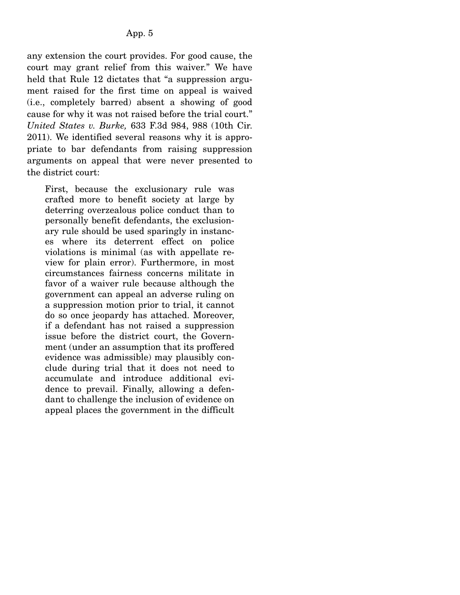any extension the court provides. For good cause, the court may grant relief from this waiver." We have held that Rule 12 dictates that "a suppression argument raised for the first time on appeal is waived (i.e., completely barred) absent a showing of good cause for why it was not raised before the trial court." *United States v. Burke,* 633 F.3d 984, 988 (10th Cir. 2011). We identified several reasons why it is appropriate to bar defendants from raising suppression arguments on appeal that were never presented to the district court:

First, because the exclusionary rule was crafted more to benefit society at large by deterring overzealous police conduct than to personally benefit defendants, the exclusionary rule should be used sparingly in instances where its deterrent effect on police violations is minimal (as with appellate review for plain error). Furthermore, in most circumstances fairness concerns militate in favor of a waiver rule because although the government can appeal an adverse ruling on a suppression motion prior to trial, it cannot do so once jeopardy has attached. Moreover, if a defendant has not raised a suppression issue before the district court, the Government (under an assumption that its proffered evidence was admissible) may plausibly conclude during trial that it does not need to accumulate and introduce additional evidence to prevail. Finally, allowing a defendant to challenge the inclusion of evidence on appeal places the government in the difficult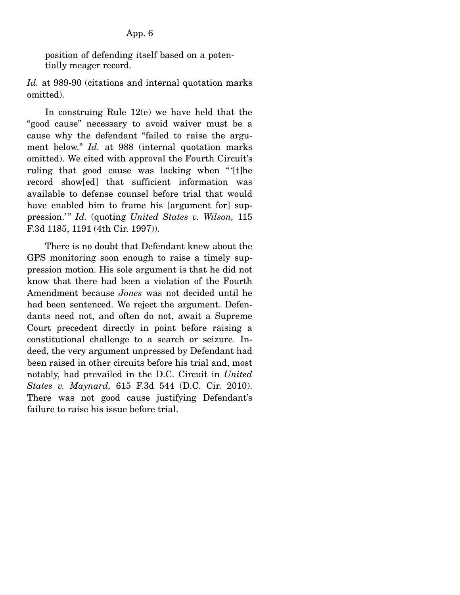position of defending itself based on a potentially meager record.

*Id.* at 989-90 (citations and internal quotation marks omitted).

 In construing Rule 12(e) we have held that the "good cause" necessary to avoid waiver must be a cause why the defendant "failed to raise the argument below." *Id.* at 988 (internal quotation marks omitted). We cited with approval the Fourth Circuit's ruling that good cause was lacking when " '[t]he record show[ed] that sufficient information was available to defense counsel before trial that would have enabled him to frame his [argument for] suppression.'" *Id.* (quoting *United States v. Wilson,* 115 F.3d 1185, 1191 (4th Cir. 1997)).

 There is no doubt that Defendant knew about the GPS monitoring soon enough to raise a timely suppression motion. His sole argument is that he did not know that there had been a violation of the Fourth Amendment because *Jones* was not decided until he had been sentenced. We reject the argument. Defendants need not, and often do not, await a Supreme Court precedent directly in point before raising a constitutional challenge to a search or seizure. Indeed, the very argument unpressed by Defendant had been raised in other circuits before his trial and, most notably, had prevailed in the D.C. Circuit in *United States v. Maynard,* 615 F.3d 544 (D.C. Cir. 2010). There was not good cause justifying Defendant's failure to raise his issue before trial.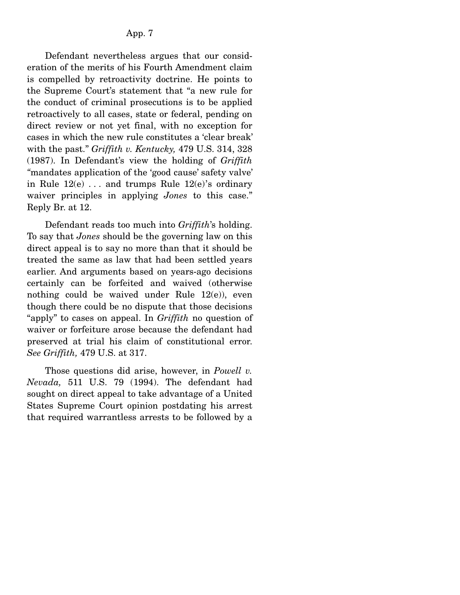Defendant nevertheless argues that our consideration of the merits of his Fourth Amendment claim is compelled by retroactivity doctrine. He points to the Supreme Court's statement that "a new rule for the conduct of criminal prosecutions is to be applied retroactively to all cases, state or federal, pending on direct review or not yet final, with no exception for cases in which the new rule constitutes a 'clear break' with the past." *Griffith v. Kentucky,* 479 U.S. 314, 328 (1987). In Defendant's view the holding of *Griffith "*mandates application of the 'good cause' safety valve' in Rule  $12(e)$ ... and trumps Rule  $12(e)$ 's ordinary waiver principles in applying *Jones* to this case." Reply Br. at 12.

 Defendant reads too much into *Griffith*'s holding. To say that *Jones* should be the governing law on this direct appeal is to say no more than that it should be treated the same as law that had been settled years earlier. And arguments based on years-ago decisions certainly can be forfeited and waived (otherwise nothing could be waived under Rule  $12(e)$ , even though there could be no dispute that those decisions "apply" to cases on appeal. In *Griffith* no question of waiver or forfeiture arose because the defendant had preserved at trial his claim of constitutional error. *See Griffith,* 479 U.S. at 317.

 Those questions did arise, however, in *Powell v. Nevada,* 511 U.S. 79 (1994). The defendant had sought on direct appeal to take advantage of a United States Supreme Court opinion postdating his arrest that required warrantless arrests to be followed by a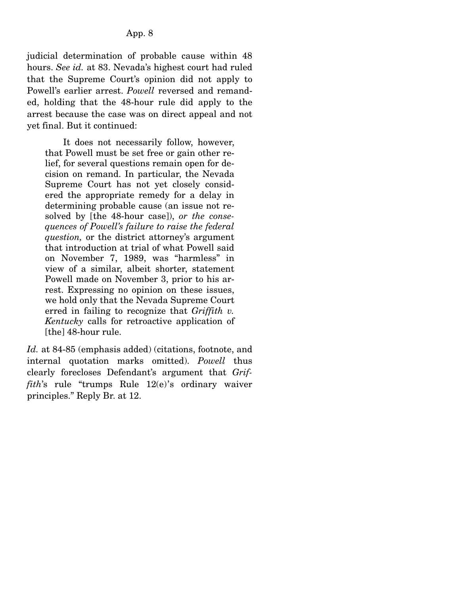judicial determination of probable cause within 48 hours. *See id.* at 83. Nevada's highest court had ruled that the Supreme Court's opinion did not apply to Powell's earlier arrest. *Powell* reversed and remanded, holding that the 48-hour rule did apply to the arrest because the case was on direct appeal and not yet final. But it continued:

 It does not necessarily follow, however, that Powell must be set free or gain other relief, for several questions remain open for decision on remand. In particular, the Nevada Supreme Court has not yet closely considered the appropriate remedy for a delay in determining probable cause (an issue not resolved by [the 48-hour case]), *or the consequences of Powell's failure to raise the federal question,* or the district attorney's argument that introduction at trial of what Powell said on November 7, 1989, was "harmless" in view of a similar, albeit shorter, statement Powell made on November 3, prior to his arrest. Expressing no opinion on these issues, we hold only that the Nevada Supreme Court erred in failing to recognize that *Griffith v. Kentucky* calls for retroactive application of [the] 48-hour rule.

Id. at 84-85 (emphasis added) (citations, footnote, and internal quotation marks omitted). *Powell* thus clearly forecloses Defendant's argument that *Griffith*'s rule "trumps Rule 12(e)'s ordinary waiver principles." Reply Br. at 12.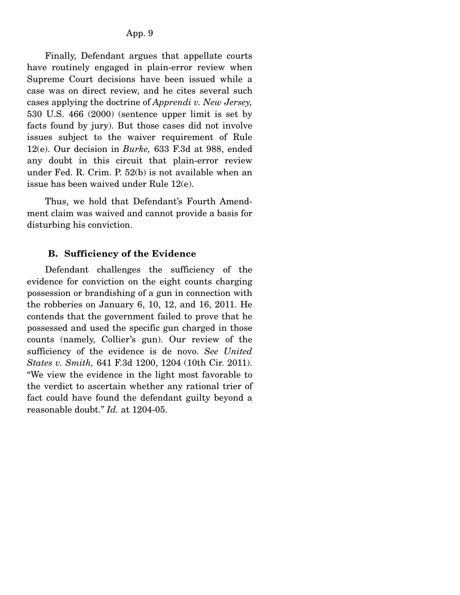Finally, Defendant argues that appellate courts have routinely engaged in plain-error review when Supreme Court decisions have been issued while a case was on direct review, and he cites several such cases applying the doctrine of *Apprendi v. New Jersey,*  530 U.S. 466 (2000) (sentence upper limit is set by facts found by jury). But those cases did not involve issues subject to the waiver requirement of Rule 12(e). Our decision in *Burke,* 633 F.3d at 988, ended any doubt in this circuit that plain-error review under Fed. R. Crim. P. 52(b) is not available when an issue has been waived under Rule 12(e).

 Thus, we hold that Defendant's Fourth Amendment claim was waived and cannot provide a basis for disturbing his conviction.

#### **B. Sufficiency of the Evidence**

 Defendant challenges the sufficiency of the evidence for conviction on the eight counts charging possession or brandishing of a gun in connection with the robberies on January 6, 10, 12, and 16, 2011. He contends that the government failed to prove that he possessed and used the specific gun charged in those counts (namely, Collier's gun). Our review of the sufficiency of the evidence is de novo. *See United States v. Smith,* 641 F.3d 1200, 1204 (10th Cir. 2011). "We view the evidence in the light most favorable to the verdict to ascertain whether any rational trier of fact could have found the defendant guilty beyond a reasonable doubt." *Id.* at 1204-05.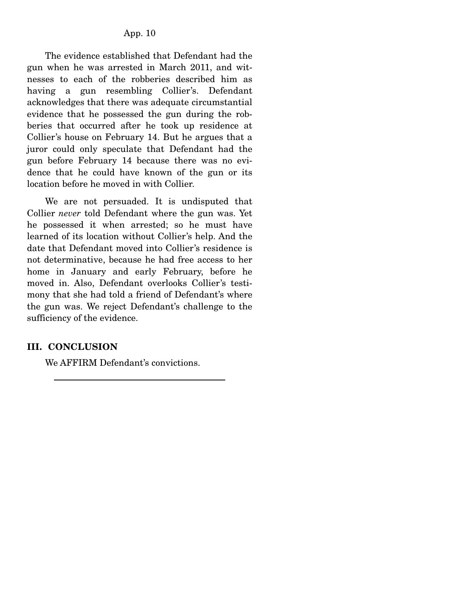The evidence established that Defendant had the gun when he was arrested in March 2011, and witnesses to each of the robberies described him as having a gun resembling Collier's. Defendant acknowledges that there was adequate circumstantial evidence that he possessed the gun during the robberies that occurred after he took up residence at Collier's house on February 14. But he argues that a juror could only speculate that Defendant had the gun before February 14 because there was no evidence that he could have known of the gun or its location before he moved in with Collier.

 We are not persuaded. It is undisputed that Collier *never* told Defendant where the gun was. Yet he possessed it when arrested; so he must have learned of its location without Collier's help. And the date that Defendant moved into Collier's residence is not determinative, because he had free access to her home in January and early February, before he moved in. Also, Defendant overlooks Collier's testimony that she had told a friend of Defendant's where the gun was. We reject Defendant's challenge to the sufficiency of the evidence.

## **III. CONCLUSION**

We AFFIRM Defendant's convictions.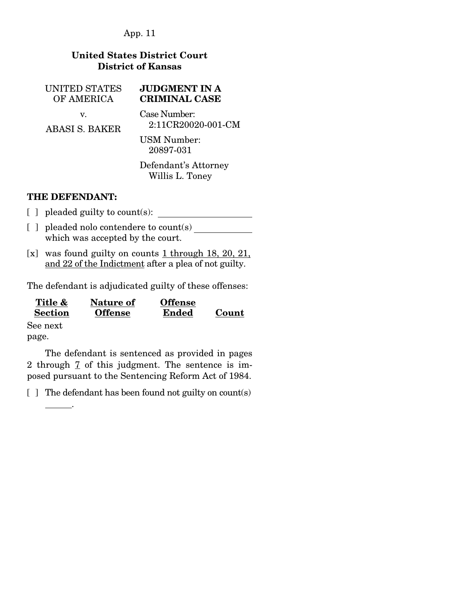## **United States District Court District of Kansas**

UNITED STATES OF AMERICA v.

ABASI S. BAKER

## **JUDGMENT IN A CRIMINAL CASE**

Case Number: 2:11CR20020-001-CM

USM Number: 20897-031

Defendant's Attorney Willis L. Toney

## **THE DEFENDANT:**

- [ ] pleaded guilty to count(s):
- [ ] pleaded nolo contendere to count(s) which was accepted by the court.
- [x] was found guilty on counts 1 through 18, 20, 21, and 22 of the Indictment after a plea of not guilty.

The defendant is adjudicated guilty of these offenses:

| Title &        | Nature of      | <b>Offense</b> |       |
|----------------|----------------|----------------|-------|
| <b>Section</b> | <b>Offense</b> | <b>Ended</b>   | Count |

See next page.

.

 The defendant is sentenced as provided in pages 2 through 7 of this judgment. The sentence is imposed pursuant to the Sentencing Reform Act of 1984.

[ ] The defendant has been found not guilty on count(s)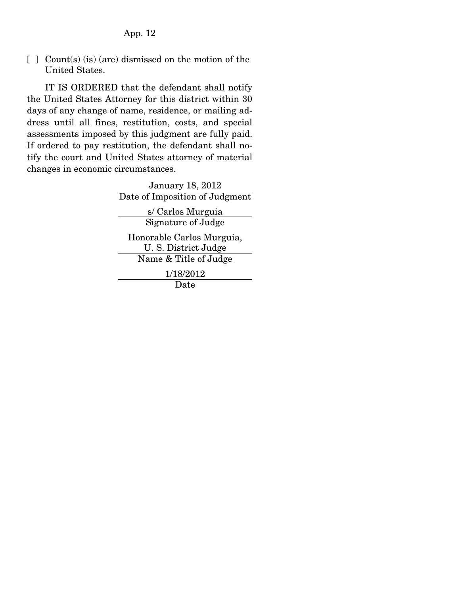[ ] Count(s) (is) (are) dismissed on the motion of the United States.

 IT IS ORDERED that the defendant shall notify the United States Attorney for this district within 30 days of any change of name, residence, or mailing address until all fines, restitution, costs, and special assessments imposed by this judgment are fully paid. If ordered to pay restitution, the defendant shall notify the court and United States attorney of material changes in economic circumstances.

> January 18, 2012 Date of Imposition of Judgment s/ Carlos Murguia Signature of Judge Honorable Carlos Murguia, U. S. District Judge Name & Title of Judge 1/18/2012 Date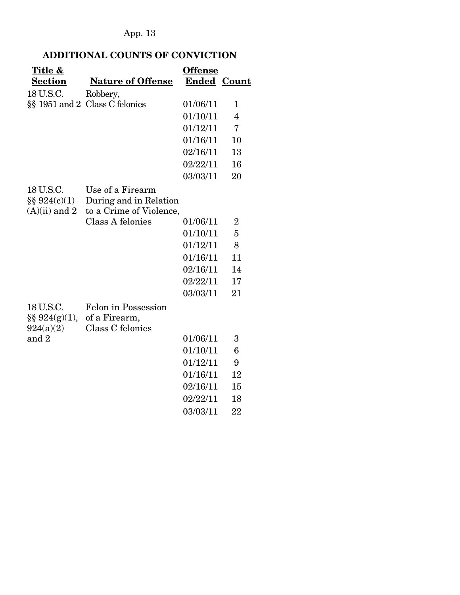## **ADDITIONAL COUNTS OF CONVICTION**

| Title &           |                                | <b>Offense</b>     |                |
|-------------------|--------------------------------|--------------------|----------------|
| <b>Section</b>    | <b>Nature of Offense</b>       | <b>Ended Count</b> |                |
| 18 U.S.C.         | Robbery,                       |                    |                |
|                   | §§ 1951 and 2 Class C felonies | 01/06/11           | 1              |
|                   |                                | 01/10/11           | $\overline{4}$ |
|                   |                                | 01/12/11           | $\overline{7}$ |
|                   |                                | 01/16/11           | 10             |
|                   |                                | 02/16/11           | 13             |
|                   |                                | 02/22/11           | 16             |
|                   |                                | 03/03/11           | 20             |
| 18 U.S.C.         | Use of a Firearm               |                    |                |
| $\S\S 924(c)(1)$  | During and in Relation         |                    |                |
| $(A)(ii)$ and 2   | to a Crime of Violence,        |                    |                |
|                   | Class A felonies               | 01/06/11           | $\overline{2}$ |
|                   |                                | 01/10/11           | $\overline{5}$ |
|                   |                                | 01/12/11           | 8              |
|                   |                                | 01/16/11           | 11             |
|                   |                                | 02/16/11           | 14             |
|                   |                                | 02/22/11           | 17             |
|                   |                                | 03/03/11           | 21             |
| 18 U.S.C.         | Felon in Possession            |                    |                |
| $\S\S 924(g)(1),$ | of a Firearm,                  |                    |                |
| 924(a)(2)         | Class C felonies               |                    |                |
| and 2             |                                | 01/06/11           | 3              |
|                   |                                | 01/10/11           | 6              |
|                   |                                | 01/12/11           | 9              |
|                   |                                | 01/16/11           | 12             |
|                   |                                | 02/16/11           | 15             |
|                   |                                | 02/22/11           | 18             |
|                   |                                | 03/03/11           | 22             |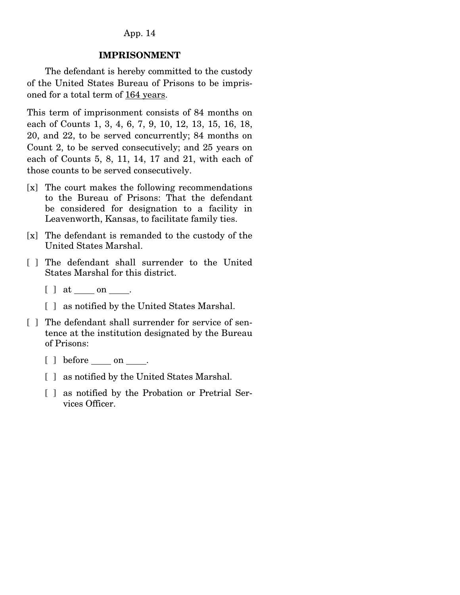#### **IMPRISONMENT**

 The defendant is hereby committed to the custody of the United States Bureau of Prisons to be imprisoned for a total term of 164 years.

This term of imprisonment consists of 84 months on each of Counts 1, 3, 4, 6, 7, 9, 10, 12, 13, 15, 16, 18, 20, and 22, to be served concurrently; 84 months on Count 2, to be served consecutively; and 25 years on each of Counts 5, 8, 11, 14, 17 and 21, with each of those counts to be served consecutively.

- [x] The court makes the following recommendations to the Bureau of Prisons: That the defendant be considered for designation to a facility in Leavenworth, Kansas, to facilitate family ties.
- [x] The defendant is remanded to the custody of the United States Marshal.
- [ ] The defendant shall surrender to the United States Marshal for this district.
	- [ ] at on .
	- [ ] as notified by the United States Marshal.
- [] The defendant shall surrender for service of sentence at the institution designated by the Bureau of Prisons:
	- $[ ]$  before <u>on</u> on  $\_\_$ .
	- [ ] as notified by the United States Marshal.
	- [ ] as notified by the Probation or Pretrial Services Officer.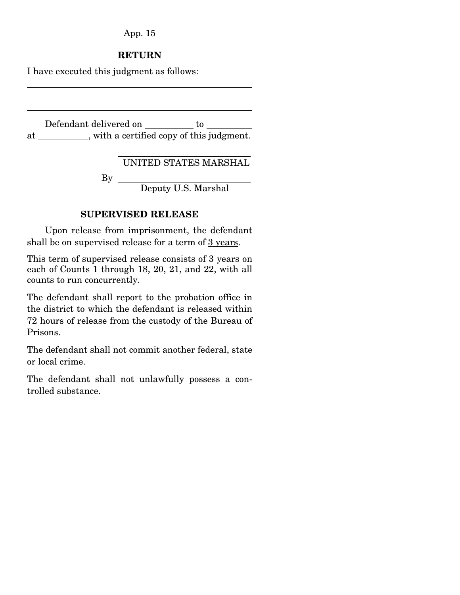#### **RETURN**

I have executed this judgment as follows:

Defendant delivered on \_\_\_\_\_\_\_\_\_ to \_\_\_\_\_\_\_ at \_\_\_\_\_\_\_\_\_\_, with a certified copy of this judgment.

UNITED STATES MARSHAL

By

Deputy U.S. Marshal

#### **SUPERVISED RELEASE**

 Upon release from imprisonment, the defendant shall be on supervised release for a term of 3 years.

This term of supervised release consists of 3 years on each of Counts 1 through 18, 20, 21, and 22, with all counts to run concurrently.

The defendant shall report to the probation office in the district to which the defendant is released within 72 hours of release from the custody of the Bureau of Prisons.

The defendant shall not commit another federal, state or local crime.

The defendant shall not unlawfully possess a controlled substance.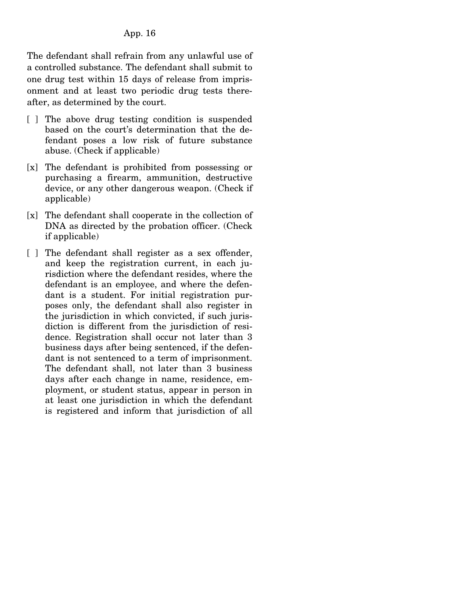The defendant shall refrain from any unlawful use of a controlled substance. The defendant shall submit to one drug test within 15 days of release from imprisonment and at least two periodic drug tests thereafter, as determined by the court.

- [ ] The above drug testing condition is suspended based on the court's determination that the defendant poses a low risk of future substance abuse. (Check if applicable)
- [x] The defendant is prohibited from possessing or purchasing a firearm, ammunition, destructive device, or any other dangerous weapon. (Check if applicable)
- [x] The defendant shall cooperate in the collection of DNA as directed by the probation officer. (Check if applicable)
- [ ] The defendant shall register as a sex offender, and keep the registration current, in each jurisdiction where the defendant resides, where the defendant is an employee, and where the defendant is a student. For initial registration purposes only, the defendant shall also register in the jurisdiction in which convicted, if such jurisdiction is different from the jurisdiction of residence. Registration shall occur not later than 3 business days after being sentenced, if the defendant is not sentenced to a term of imprisonment. The defendant shall, not later than 3 business days after each change in name, residence, employment, or student status, appear in person in at least one jurisdiction in which the defendant is registered and inform that jurisdiction of all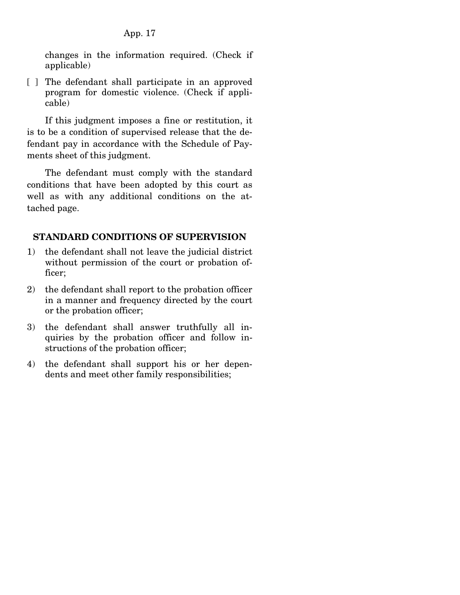changes in the information required. (Check if applicable)

[ ] The defendant shall participate in an approved program for domestic violence. (Check if applicable)

 If this judgment imposes a fine or restitution, it is to be a condition of supervised release that the defendant pay in accordance with the Schedule of Payments sheet of this judgment.

 The defendant must comply with the standard conditions that have been adopted by this court as well as with any additional conditions on the attached page.

## **STANDARD CONDITIONS OF SUPERVISION**

- 1) the defendant shall not leave the judicial district without permission of the court or probation officer;
- 2) the defendant shall report to the probation officer in a manner and frequency directed by the court or the probation officer;
- 3) the defendant shall answer truthfully all inquiries by the probation officer and follow instructions of the probation officer;
- 4) the defendant shall support his or her dependents and meet other family responsibilities;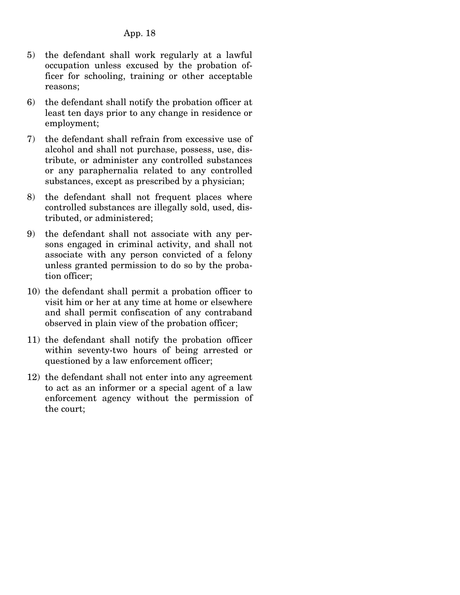- 5) the defendant shall work regularly at a lawful occupation unless excused by the probation officer for schooling, training or other acceptable reasons;
- 6) the defendant shall notify the probation officer at least ten days prior to any change in residence or employment;
- 7) the defendant shall refrain from excessive use of alcohol and shall not purchase, possess, use, distribute, or administer any controlled substances or any paraphernalia related to any controlled substances, except as prescribed by a physician;
- 8) the defendant shall not frequent places where controlled substances are illegally sold, used, distributed, or administered;
- 9) the defendant shall not associate with any persons engaged in criminal activity, and shall not associate with any person convicted of a felony unless granted permission to do so by the probation officer;
- 10) the defendant shall permit a probation officer to visit him or her at any time at home or elsewhere and shall permit confiscation of any contraband observed in plain view of the probation officer;
- 11) the defendant shall notify the probation officer within seventy-two hours of being arrested or questioned by a law enforcement officer;
- 12) the defendant shall not enter into any agreement to act as an informer or a special agent of a law enforcement agency without the permission of the court;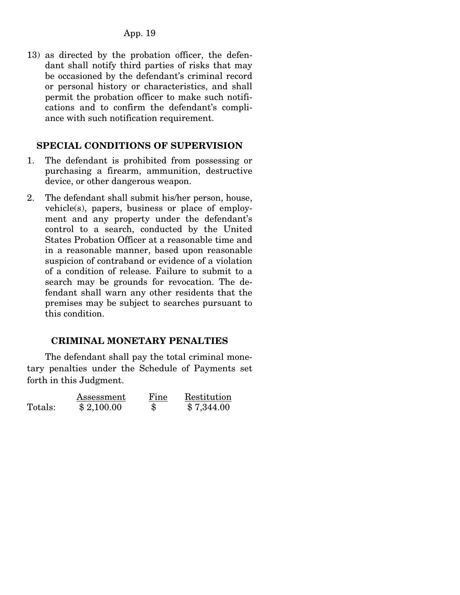13) as directed by the probation officer, the defendant shall notify third parties of risks that may be occasioned by the defendant's criminal record or personal history or characteristics, and shall permit the probation officer to make such notifications and to confirm the defendant's compliance with such notification requirement.

### **SPECIAL CONDITIONS OF SUPERVISION**

- 1. The defendant is prohibited from possessing or purchasing a firearm, ammunition, destructive device, or other dangerous weapon.
- 2. The defendant shall submit his/her person, house, vehicle(s), papers, business or place of employment and any property under the defendant's control to a search, conducted by the United States Probation Officer at a reasonable time and in a reasonable manner, based upon reasonable suspicion of contraband or evidence of a violation of a condition of release. Failure to submit to a search may be grounds for revocation. The defendant shall warn any other residents that the premises may be subject to searches pursuant to this condition.

## **CRIMINAL MONETARY PENALTIES**

 The defendant shall pay the total criminal monetary penalties under the Schedule of Payments set forth in this Judgment.

|         | Assessment | Fine | Restitution |
|---------|------------|------|-------------|
| Totals: | \$2,100.00 | \$   | \$7,344.00  |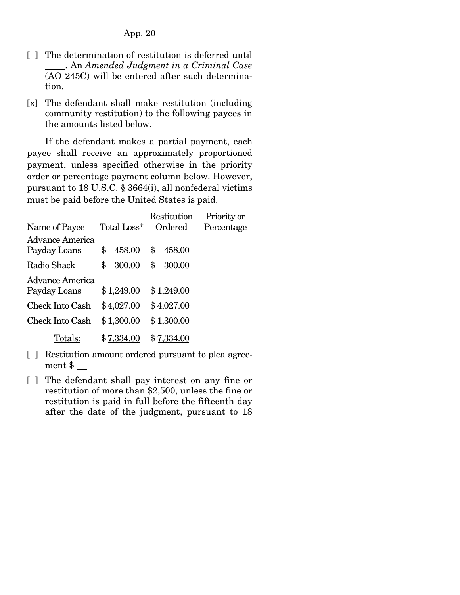- [ ] The determination of restitution is deferred until . An *Amended Judgment in a Criminal Case* (AO 245C) will be entered after such determination.
- [x] The defendant shall make restitution (including community restitution) to the following payees in the amounts listed below.

 If the defendant makes a partial payment, each payee shall receive an approximately proportioned payment, unless specified otherwise in the priority order or percentage payment column below. However, pursuant to 18 U.S.C. § 3664(i), all nonfederal victims must be paid before the United States is paid.

|                                 |              | Restitution  | Priority or |
|---------------------------------|--------------|--------------|-------------|
| Name of Payee                   | Total Loss*  | Ordered      | Percentage  |
| Advance America<br>Payday Loans | \$<br>458.00 | \$<br>458.00 |             |
| Radio Shack                     | \$<br>300.00 | \$<br>300.00 |             |
| Advance America<br>Payday Loans | \$1,249.00   | \$1,249.00   |             |
| Check Into Cash                 | \$4,027.00   | \$4,027.00   |             |
| Check Into Cash                 | \$1,300.00   | \$1,300.00   |             |
| Totals:                         | \$7,334.00   | \$7,334.00   |             |

- [ ] Restitution amount ordered pursuant to plea agreement  $\sim$
- [ ] The defendant shall pay interest on any fine or restitution of more than \$2,500, unless the fine or restitution is paid in full before the fifteenth day after the date of the judgment, pursuant to 18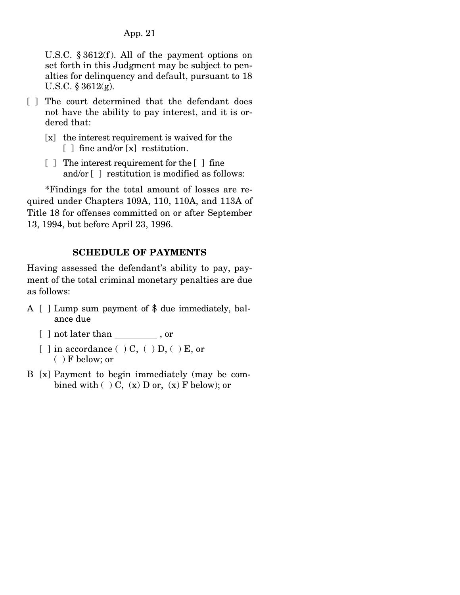U.S.C.  $\S 3612(f)$ . All of the payment options on set forth in this Judgment may be subject to penalties for delinquency and default, pursuant to 18 U.S.C. § 3612(g).

- [ ] The court determined that the defendant does not have the ability to pay interest, and it is ordered that:
	- [x] the interest requirement is waived for the [ ] fine and/or [x] restitution.
	- [ ] The interest requirement for the [ ] fine and/or [ ] restitution is modified as follows:

 \*Findings for the total amount of losses are required under Chapters 109A, 110, 110A, and 113A of Title 18 for offenses committed on or after September 13, 1994, but before April 23, 1996.

## **SCHEDULE OF PAYMENTS**

Having assessed the defendant's ability to pay, payment of the total criminal monetary penalties are due as follows:

- A [ ] Lump sum payment of \$ due immediately, balance due
	- [ ] not later than \_\_\_\_\_\_\_\_\_, or
	- [ ] in accordance (  $\cdot$  ) C, (  $\cdot$  ) D, (  $\cdot$  ) E, or ( ) F below; or
- B [x] Payment to begin immediately (may be combined with  $( ) C, (x) D$  or,  $(x) F$  below); or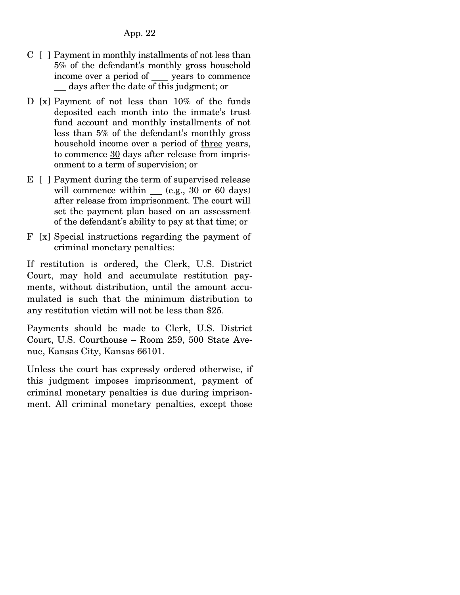- $C \mid$  | Payment in monthly installments of not less than 5% of the defendant's monthly gross household income over a period of years to commence days after the date of this judgment; or
- D [x] Payment of not less than 10% of the funds deposited each month into the inmate's trust fund account and monthly installments of not less than 5% of the defendant's monthly gross household income over a period of three years, to commence 30 days after release from imprisonment to a term of supervision; or
- E [ ] Payment during the term of supervised release will commence within (e.g., 30 or 60 days) after release from imprisonment. The court will set the payment plan based on an assessment of the defendant's ability to pay at that time; or
- F [x] Special instructions regarding the payment of criminal monetary penalties:

If restitution is ordered, the Clerk, U.S. District Court, may hold and accumulate restitution payments, without distribution, until the amount accumulated is such that the minimum distribution to any restitution victim will not be less than \$25.

Payments should be made to Clerk, U.S. District Court, U.S. Courthouse – Room 259, 500 State Avenue, Kansas City, Kansas 66101.

Unless the court has expressly ordered otherwise, if this judgment imposes imprisonment, payment of criminal monetary penalties is due during imprisonment. All criminal monetary penalties, except those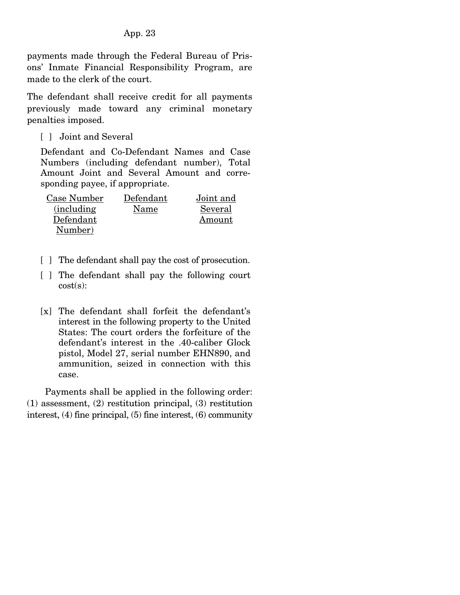payments made through the Federal Bureau of Prisons' Inmate Financial Responsibility Program, are made to the clerk of the court.

The defendant shall receive credit for all payments previously made toward any criminal monetary penalties imposed.

[ ] Joint and Several

Defendant and Co-Defendant Names and Case Numbers (including defendant number), Total Amount Joint and Several Amount and corresponding payee, if appropriate.

| Case Number        | Defendant | Joint and |
|--------------------|-----------|-----------|
| <i>(including)</i> | Name      | Several   |
| Defendant          |           | Amount    |
| Number)            |           |           |

- [ ] The defendant shall pay the cost of prosecution.
- [ ] The defendant shall pay the following court cost(s):
- [x] The defendant shall forfeit the defendant's interest in the following property to the United States: The court orders the forfeiture of the defendant's interest in the .40-caliber Glock pistol, Model 27, serial number EHN890, and ammunition, seized in connection with this case.

 Payments shall be applied in the following order: (1) assessment, (2) restitution principal, (3) restitution interest, (4) fine principal, (5) fine interest, (6) community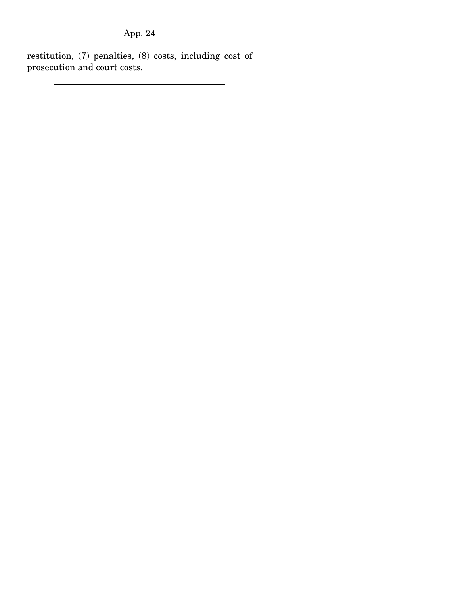restitution, (7) penalties, (8) costs, including cost of prosecution and court costs.